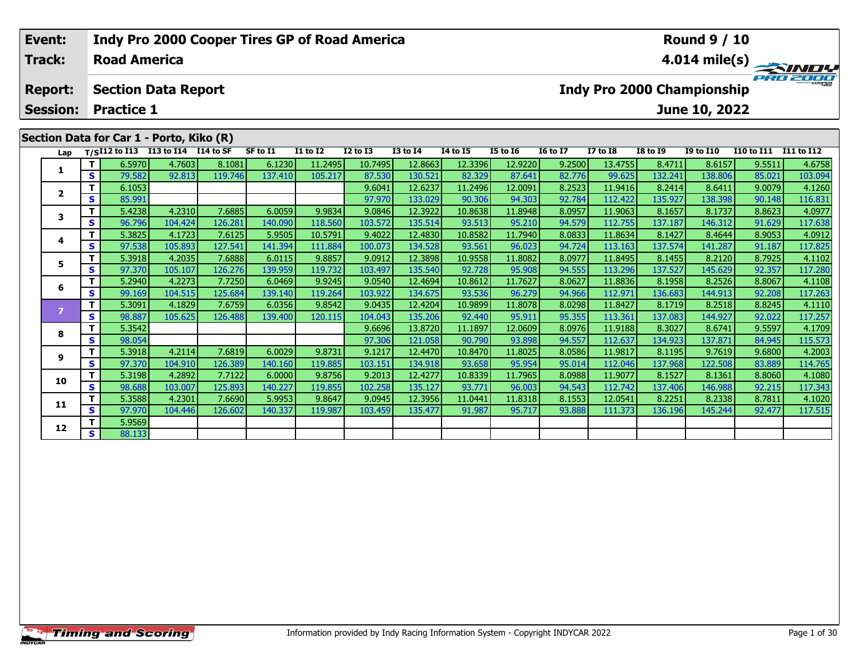| Event:          |    |                     | <b>Indy Pro 2000 Cooper Tires GP of Road America</b> |         |          |                 |                 |                 |                 |                 |                 |                 |                 | <b>Round 9 / 10</b>               |                   |                         |
|-----------------|----|---------------------|------------------------------------------------------|---------|----------|-----------------|-----------------|-----------------|-----------------|-----------------|-----------------|-----------------|-----------------|-----------------------------------|-------------------|-------------------------|
| <b>Track:</b>   |    | <b>Road America</b> |                                                      |         |          |                 |                 |                 |                 |                 |                 |                 |                 |                                   |                   | $4.014 \text{ mile(s)}$ |
| <b>Report:</b>  |    |                     | <b>Section Data Report</b>                           |         |          |                 |                 |                 |                 |                 |                 |                 |                 | <b>Indy Pro 2000 Championship</b> |                   | PRO 2000                |
| <b>Session:</b> |    | <b>Practice 1</b>   |                                                      |         |          |                 |                 |                 |                 |                 |                 |                 |                 | June 10, 2022                     |                   |                         |
|                 |    |                     | Section Data for Car 1 - Porto, Kiko (R)             |         |          |                 |                 |                 |                 |                 |                 |                 |                 |                                   |                   |                         |
| Lap             |    |                     | $T/SI12$ to I13 I13 to I14 I14 to SF                 |         | SF to I1 | <b>I1 to I2</b> | <b>I2 to I3</b> | <b>I3 to I4</b> | <b>I4 to I5</b> | <b>I5 to 16</b> | <b>16 to 17</b> | <b>I7 to I8</b> | <b>I8 to I9</b> | <b>I9 to I10</b>                  | <b>I10 to I11</b> | I11 to I12              |
|                 |    | 6.5970              | 4.7603                                               | 8.1081  | 6.1230   | 11.2495         | 10.7495         | 12.8663         | 12.3396         | 12.9220         | 9.2500          | 13.4755         | 8.4711          | 8.6157                            | 9.5511            | 4.6758                  |
| 1               | S. | 79.582              | 92.813                                               | 119.746 | 137.410  | 105.217         | 87.530          | 130.521         | 82.329          | 87.641          | 82.776          | 99.625          | 132.241         | 138.806                           | 85.021            | 103.094                 |
|                 |    | 6.1053              |                                                      |         |          |                 | 9.6041          | 12.6237         | 11.2496         | 12.0091         | 8.2523          | 11.9416         | 8.2414          | 8.6411                            | 9.0079            | 4.1260                  |
|                 | S. | 85.991              |                                                      |         |          |                 | 97.970          | 133.029         | 90.306          | 94.303          | 92.784          | 112.422         | 135.927         | 138.398                           | 90.148            | 116.831                 |
| 3               |    | 5.4238              | 4.2310                                               | 7.6885  | 6.0059   | 9.9834          | 9.0846          | 12.3922         | 10.8638         | 11.8948         | 8.0957          | 11.9063         | 8.1657          | 8.1737                            | 8.8623            | 4.0977                  |
|                 |    | 96.796              | 104.424                                              | 126.281 | 140.090  | 118.560         | 103.572         | 135.514         | 93.513          | 95.210          | 94.579          | 112.755         | 137.187         | 146.312                           | 91.629            | 117.638                 |

4 | **T** | 5.3825| 4.1723| 7.6125| 5.9505| 10.5791| 9.4022| 12.4830| 10.8582| 11.7940| 8.0833| 11.8634| 8.1427| 8.4644| 8.9053| 4.0912<br>- S | 97.538| 105.893| 127.541| 141.394| 111.884| 100.073| 134.528| 93.561| 96.023| 94.7

5 | T | 5.3918| 4.2035| 7.6888| 6.0115| 9.8857| 9.0912| 12.3898| 10.9558| 11.8082| 8.0977| 11.8495| 8.1455| 8.2120| 8.7925| 4.1102<br>| S | 97.370 105.107| 126.276 139.959 119.732 103.497| 135.540| 92.728| 95.908| 94.555| 113

**<sup>T</sup>** 5.2940 4.2273 7.7250 6.0469 9.9245 9.0540 12.4694 10.8612 11.7627 8.0627 11.8836 8.1958 8.2526 8.8067 4.1108 **<sup>S</sup>** 99.169 104.515 125.684 139.140 119.264 103.922 134.675 93.536 96.279 94.966 112.971 136.683 144.913 92.208 117.263

7 | T | 5.3091 | 4.1829 7.6759 6.0356 9.8542 9.0435 12.4204 10.9899 11.8078 8.0298 11.8427 8.1719 8.2518 8.8245 4.1110<br>7 | S | 98.887 105.625 126.488 139.400 120.115 104.043 135.206 92.440 95.911 95.355 113.361 137.083 144

**<sup>T</sup>** 5.3542 9.6696 13.8720 11.1897 12.0609 8.0976 11.9188 8.3027 8.6741 9.5597 4.1709 **<sup>S</sup>** 98.054 97.306 121.058 90.790 93.898 94.557 112.637 134.923 137.871 84.945 115.573

9.6800 1.2003 1.9817 1.9817 1.9817 1.9817 1.9817 1.9817 1.9817 1.9817 1.9817 1.9817 1.9817 1.9817 1.9817 1.98<br>Star 97.370 104.910 126.389 140.160 119.885 103.151 134.918 93.658 95.954 95.014 112.046 137.968 122.508 83.889

0 | T | 5.3198| 4.2892| 7.7122| 6.0000| 9.8756| 9.2013| 12.4277| 10.8339| 11.7965| 8.0988| 11.9077| 8.1527| 8.1361| 8.8060| 4.1080<br>| S | 98.688| 103.007| 125.893| 140.227| 119.855| 102.258| 135.127| 93.771| 96.003| 94.543|

**<sup>T</sup>** 5.3588 4.2301 7.6690 5.9953 9.8647 9.0945 12.3956 11.0441 11.8318 8.1553 12.0541 8.2251 8.2338 8.7811 4.1020 **<sup>S</sup>** 97.970 104.446 126.602 140.337 119.987 103.459 135.477 91.987 95.717 93.888 111.373 136.196 145.244 92.477 117.515

**4**

**5**

**6**

**8**

**9**

**10**

**11**

**12**

**2 S** 5.9569

117.825

117.257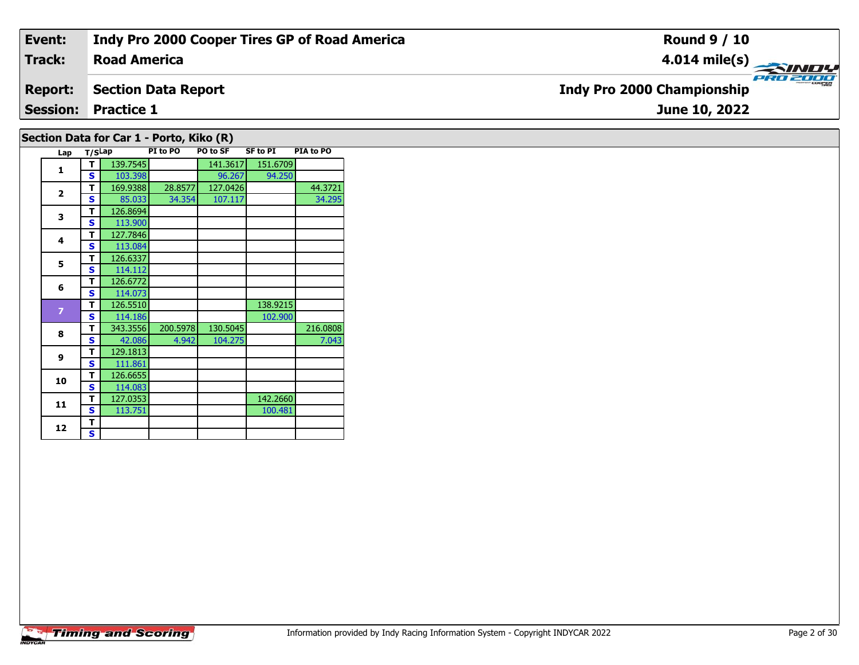| Event:                                      | Indy Pro 2000 Cooper Tires GP of Road America | <b>Round 9 / 10</b>                           |  |  |  |  |  |  |  |  |
|---------------------------------------------|-----------------------------------------------|-----------------------------------------------|--|--|--|--|--|--|--|--|
| <b>Track:</b>                               | <b>Road America</b>                           | 4.014 mile(s) $\rightarrow$                   |  |  |  |  |  |  |  |  |
| <b>Report:</b>                              | <b>Section Data Report</b>                    | PRO 2000<br><b>Indy Pro 2000 Championship</b> |  |  |  |  |  |  |  |  |
| <b>Session: Practice 1</b><br>June 10, 2022 |                                               |                                               |  |  |  |  |  |  |  |  |
| Section Data for Car 1 - Porto, Kiko (R)    |                                               |                                               |  |  |  |  |  |  |  |  |

|  | Lap            | T/SLap |          | PI to PO | <b>PO to SF</b> | <b>SF to PI</b> | PIA to PO |
|--|----------------|--------|----------|----------|-----------------|-----------------|-----------|
|  | 1              | т      | 139.7545 |          | 141.3617        | 151.6709        |           |
|  |                | S      | 103.398  |          | 96.267          | 94.250          |           |
|  | $\overline{2}$ | т      | 169.9388 | 28.8577  | 127.0426        |                 | 44.3721   |
|  |                | S      | 85.033   | 34.354   | 107.117         |                 | 34.295    |
|  | 3              | т      | 126.8694 |          |                 |                 |           |
|  | 4              | S      | 113.900  |          |                 |                 |           |
|  |                | т      | 127.7846 |          |                 |                 |           |
|  |                | S      | 113.084  |          |                 |                 |           |
|  | 5              | т      | 126.6337 |          |                 |                 |           |
|  |                | S      | 114.112  |          |                 |                 |           |
|  |                | т      | 126.6772 |          |                 |                 |           |
|  | 6              | S      | 114.073  |          |                 |                 |           |
|  | $\overline{7}$ | т      | 126.5510 |          |                 | 138.9215        |           |
|  |                | S      | 114.186  |          |                 | 102.900         |           |
|  | 8              | т      | 343.3556 | 200.5978 | 130.5045        |                 | 216.0808  |
|  |                | S      | 42.086   | 4.942    | 104.275         |                 | 7.043     |
|  | 9              | т      | 129.1813 |          |                 |                 |           |
|  |                | S      | 111.861  |          |                 |                 |           |
|  | 10             | т      | 126.6655 |          |                 |                 |           |
|  |                | S      | 114.083  |          |                 |                 |           |
|  | 11             | т      | 127.0353 |          |                 | 142.2660        |           |
|  |                | S      | 113.751  |          |                 | 100.481         |           |
|  |                | т      |          |          |                 |                 |           |
|  | 12             | S      |          |          |                 |                 |           |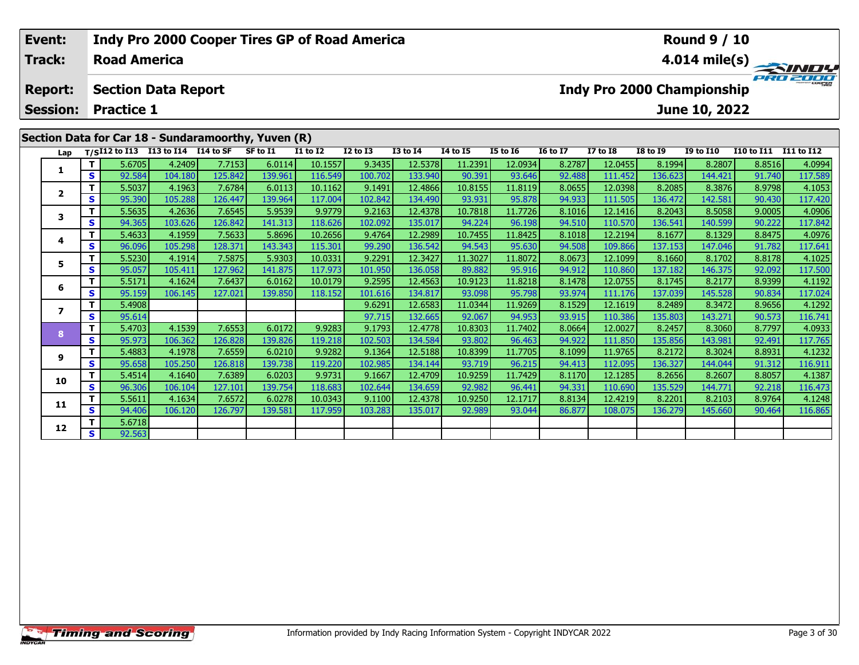| Event:<br>Track: | <b>Indy Pro 2000 Cooper Tires GP of Road America</b><br><b>Round 9 / 10</b><br>$4.014 \text{ mile(s)}$<br><b>Road America</b> |                                                     |         |         |          |                 |                 |                 |                 |                 |                 |                                   |                 |                  |                       |         |  |
|------------------|-------------------------------------------------------------------------------------------------------------------------------|-----------------------------------------------------|---------|---------|----------|-----------------|-----------------|-----------------|-----------------|-----------------|-----------------|-----------------------------------|-----------------|------------------|-----------------------|---------|--|
| <b>Report:</b>   |                                                                                                                               | <b>Section Data Report</b>                          |         |         |          |                 |                 |                 |                 |                 |                 | <b>Indy Pro 2000 Championship</b> |                 |                  |                       |         |  |
| <b>Session:</b>  |                                                                                                                               | <b>Practice 1</b>                                   |         |         |          |                 |                 |                 |                 | June 10, 2022   |                 |                                   |                 |                  |                       |         |  |
|                  |                                                                                                                               | Section Data for Car 18 - Sundaramoorthy, Yuven (R) |         |         |          |                 |                 |                 |                 |                 |                 |                                   |                 |                  |                       |         |  |
| Lap              |                                                                                                                               | T/SI12 to I13 I13 to I14 I14 to SF                  |         |         | SF to I1 | <b>I1 to I2</b> | <b>I2 to I3</b> | <b>I3 to 14</b> | <b>14 to 15</b> | <b>I5 to 16</b> | <b>16 to 17</b> | <b>I7 to I8</b>                   | <b>I8 to I9</b> | <b>I9 to I10</b> | I10 to I11 I11 to I12 |         |  |
| 1                | т                                                                                                                             | 5.6705                                              | 4.2409  | 7.7153  | 6.0114   | 10.1557         | 9.3435          | 12.5378         | 11.2391         | 12.0934         | 8.2787          | 12.0455                           | 8.1994          | 8.2807           | 8.8516                | 4.0994  |  |
|                  | S.                                                                                                                            | 92.584                                              | 104.180 | 125.842 | 139.961  | 116.549         | 100.702         | 133.940         | 90.391          | 93.646          | 92.488          | 111.452                           | 136.623         | 144.421          | 91.740                | 117.589 |  |
| $\overline{2}$   | т                                                                                                                             | 5.5037                                              | 4.1963  | 7.6784  | 6.0113   | 10.1162         | 9.1491          | 12.4866         | 10.8155         | 11.8119         | 8.0655          | 12.0398                           | 8.2085          | 8.3876           | 8.9798                | 4.1053  |  |
|                  | S.                                                                                                                            | 95.390                                              | 105.288 | 126.447 | 139.964  | 117.004         | 102.842         | 134.490         | 93.931          | 95.878          | 94.933          | 111.505                           | 136.472         | 142.581          | 90.430                | 117.420 |  |
| 3                |                                                                                                                               | 5.5635                                              | 4.2636  | 7.6545  | 5.9539   | 9.9779          | 9.2163          | 12.4378         | 10.7818         | 11.7726         | 8.1016          | 12.1416                           | 8.2043          | 8.5058           | 9.0005                | 4.0906  |  |
|                  | S.                                                                                                                            | 94.365                                              | 103.626 | 126.842 | 141.313  | 118.626         | 102.092         | 135.017         | 94.224          | 96.198          | 94.510          | 110.570                           | 136.541         | 140.599          | 90.222                | 117.842 |  |
| 4                | т                                                                                                                             | 5.4633                                              | 4.1959  | 7.5633  | 5.8696   | 10.2656         | 9.4764          | 12.2989         | 10.7455         | 11.8425         | 8.1018          | 12.2194                           | 8.1677          | 8.1329           | 8.8475                | 4.0976  |  |
|                  | <b>S</b>                                                                                                                      | 96.096                                              | 105.298 | 128.371 | 143.343  | 115.301         | 99.290          | 136.542         | 94.543          | 95.630          | 94.508          | 109.866                           | 137.153         | 147.046          | 91.782                | 117.641 |  |
| 5.               | T.                                                                                                                            | 5.5230                                              | 4.1914  | 7.5875  | 5.9303   | 10.0331         | 9.2291          | 12.3427         | 11.3027         | 11.8072         | 8.0673          | 12.1099                           | 8.1660          | 8.1702           | 8.8178                | 4.1025  |  |
|                  | S                                                                                                                             | 95.057                                              | 105.411 | 127.962 | 141.875  | 117.973         | 101.950         | 136.058         | 89.882          | 95.916          | 94.912          | 110.860                           | 137.182         | 146.375          | 92.092                | 117.500 |  |
| 6                | т                                                                                                                             | 5.5171                                              | 4.1624  | 7.6437  | 6.0162   | 10.0179         | 9.2595          | 12.4563         | 10.9123         | 11.8218         | 8.1478          | 12.0755                           | 8.1745          | 8.2177           | 8.9399                | 4.1192  |  |
|                  | S.                                                                                                                            | 95.159                                              | 106.145 | 127.021 | 139.850  | 118.152         | 101.616         | 134.817         | 93.098          | 95.798          | 93.974          | 111.176                           | 137.039         | 145.528          | 90.834                | 117.024 |  |
| $\overline{ }$   | T.                                                                                                                            | 5.4908                                              |         |         |          |                 | 9.6291          | 12.6583         | 11.0344         | 11.9269         | 8.1529          | 12.1619                           | 8.2489          | 8.3472           | 8.9656                | 4.1292  |  |
|                  | S.                                                                                                                            | 95.614                                              |         |         |          |                 | 97.715          | 132.665         | 92.067          | 94.953          | 93.915          | 110.386                           | 135.803         | 143.271          | 90.573                | 116.741 |  |
| 8                | т                                                                                                                             | 5.4703                                              | 4.1539  | 7.6553  | 6.0172   | 9.9283          | 9.1793          | 12.4778         | 10.8303         | 11.7402         | 8.0664          | 12.0027                           | 8.2457          | 8.3060           | 8.7797                | 4.0933  |  |
|                  | <b>S</b>                                                                                                                      | 95.973                                              | 106.362 | 126.828 | 139.826  | 119.218         | 102.503         | 134.584         | 93.802          | 96.463          | 94.922          | 111.850                           | 135.856         | 143.981          | 92.491                | 117.765 |  |
| 9                |                                                                                                                               | 5.4883                                              | 4.1978  | 7.6559  | 6.0210   | 9.9282          | 9.1364          | 12.5188         | 10.8399         | 11.7705         | 8.1099          | 11.9765                           | 8.2172          | 8.3024           | 8.8931                | 4.1232  |  |
|                  | S                                                                                                                             | 95.658                                              | 105.250 | 126.818 | 139.738  | 119.220         | 102.985         | 134.144         | 93.719          | 96.215          | 94.413          | 112.095                           | 136.327         | 144.044          | 91.312                | 116.911 |  |

0 | **T** | 5.4514 | 4.1640 | 7.6389 | 6.0203 | 9.9731 | 9.1667 | 12.4709 | 10.9259 | 11.7429 | 8.1170 | 12.1285 | 8.2656 | 8.2607 | 8.8057 | 4.1387<br>| S | 96.306 | 106.104 | 127.101 | 139.754 | 118.683 | 102.644 | 134.659 |

1 | T | 5.5611 4.1634 7.6572 6.0278 10.0343 9.1100 12.4378 10.9250 12.1717 8.8134 12.4219 8.2201 8.2103 8.9764 4.1248<br>S 94.406 106.120 126.797 139.581 117.959 103.283 135.017 92.989 93.044 86.877 108.075 136.279 145.660 90

**10**

**11**

**12**

**<sup>T</sup>** 5.6718 **<sup>S</sup>** 92.563

116.911

4.1248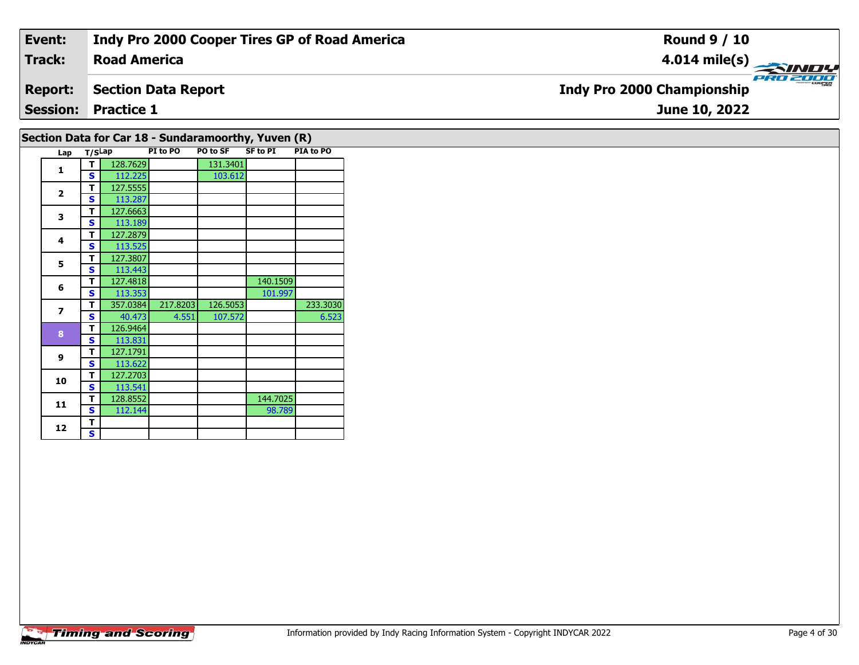| Event:         | Indy Pro 2000 Cooper Tires GP of Road America | <b>Round 9 / 10</b>                                  |
|----------------|-----------------------------------------------|------------------------------------------------------|
| <b>Track:</b>  | <b>Road America</b>                           |                                                      |
| <b>Report:</b> | Section Data Report                           | <b>PRO 2000</b><br><b>Indy Pro 2000 Championship</b> |
|                | <b>Session: Practice 1</b>                    | June 10, 2022                                        |
|                |                                               |                                                      |

|                |        |          |          |          | Section Data for Car 18 - Sundaramoorthy, Yuven (R) |           |
|----------------|--------|----------|----------|----------|-----------------------------------------------------|-----------|
| Lap            | T/SLap |          | PI to PO | PO to SF | <b>SF to PI</b>                                     | PIA to PO |
| 1              | т      | 128.7629 |          | 131.3401 |                                                     |           |
|                | S      | 112.225  |          | 103.612  |                                                     |           |
| $\overline{2}$ | т      | 127.5555 |          |          |                                                     |           |
|                | S      | 113.287  |          |          |                                                     |           |
| 3              | т      | 127.6663 |          |          |                                                     |           |
|                | S      | 113.189  |          |          |                                                     |           |
| 4              | т      | 127.2879 |          |          |                                                     |           |
|                | S      | 113.525  |          |          |                                                     |           |
| 5              | т      | 127.3807 |          |          |                                                     |           |
|                | S      | 113.443  |          |          |                                                     |           |
| 6              | т      | 127.4818 |          |          | 140.1509                                            |           |
|                | s      | 113.353  |          |          | 101.997                                             |           |
| $\overline{ }$ | т      | 357.0384 | 217.8203 | 126.5053 |                                                     | 233.3030  |
|                | S      | 40.473   | 4.551    | 107.572  |                                                     | 6.523     |
| 8              | т      | 126.9464 |          |          |                                                     |           |
|                | S      | 113.831  |          |          |                                                     |           |
| 9              | т      | 127.1791 |          |          |                                                     |           |
|                | S      | 113.622  |          |          |                                                     |           |
| 10             | т      | 127.2703 |          |          |                                                     |           |
|                | s      | 113.541  |          |          |                                                     |           |
| 11             | т      | 128.8552 |          |          | 144.7025                                            |           |
|                | S      | 112.144  |          |          | 98.789                                              |           |
| 12             | т      |          |          |          |                                                     |           |
|                | S      |          |          |          |                                                     |           |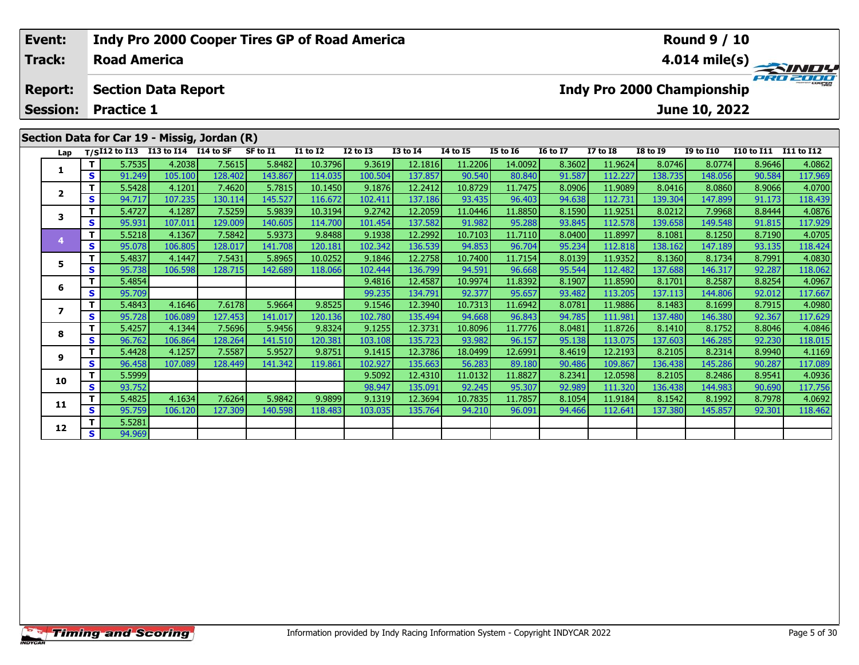| Event:          |    |                     |                                                    | <b>Indy Pro 2000 Cooper Tires GP of Road America</b> |          |                 |              |                 |                 |                 |                 |              |                 | <b>Round 9 / 10</b>        |                   |                         |
|-----------------|----|---------------------|----------------------------------------------------|------------------------------------------------------|----------|-----------------|--------------|-----------------|-----------------|-----------------|-----------------|--------------|-----------------|----------------------------|-------------------|-------------------------|
| <b>Track:</b>   |    | <b>Road America</b> |                                                    |                                                      |          |                 |              |                 |                 |                 |                 |              |                 |                            |                   | $4.014 \text{ mile(s)}$ |
| <b>Report:</b>  |    |                     | <b>Section Data Report</b>                         |                                                      |          |                 |              |                 |                 |                 |                 |              |                 | Indy Pro 2000 Championship |                   | PRO 2000                |
| <b>Session:</b> |    | <b>Practice 1</b>   |                                                    |                                                      |          |                 |              |                 |                 |                 |                 |              |                 | June 10, 2022              |                   |                         |
|                 |    |                     |                                                    | Section Data for Car 19 - Missig, Jordan (R)         |          |                 |              |                 |                 |                 |                 |              |                 |                            |                   |                         |
|                 |    |                     | Lap T/S <sup>I12</sup> to I13 I13 to I14 I14 to SF |                                                      | SF to I1 | <b>I1 to I2</b> | $I2$ to $I3$ | <b>I3 to I4</b> | <b>I4 to I5</b> | <b>I5 to 16</b> | <b>16 to 17</b> | $I7$ to $I8$ | <b>I8 to 19</b> | <b>I9 to I10</b>           | <b>I10 to I11</b> | I11 to I12              |
|                 |    | 5.7535              | 4.2038                                             | 7.5615                                               | 5.8482   | 10.3796         | 9.3619       | 12.1816         | 11.2206         | 14.0092         | 8.3602          | 11.9624      | 8.0746          | 8.0774                     | 8.9646            | 4.0862                  |
|                 | S. | 91.249              | 105.100                                            | 128.402                                              | 143.867  | 114.035         | 100.504      | 137.857         | 90.540          | 80.840          | 91.587          | 112.227      | 138.735         | 148.056                    | 90.584            | 117.969                 |
|                 |    | 5.5428              | 4.1201                                             | 7.4620                                               | 5.7815   | 10.1450         | 9.1876       | 12.2412         | 10.8729         | 11.7475         | 8.0906          | 11.9089      | 8.0416          | 8.0860                     | 8.9066            | 4.0700                  |
| $\mathbf{2}$    | S. | 94.717              | 107.235                                            | 130.114                                              | 145.527  | 116.672         | 102.411      | 137.186         | 93.435          | 96.403          | 94.638          | 112.731      | 139.304         | 147.899                    | 91.173            | 118,439                 |

3 | T | 5.4727| 4.1287| 7.5259| 5.9839| 10.3194| 9.2742| 12.2059| 11.0446| 11.8850| 8.1590| 11.9251| 8.0212| 7.9968| 8.8444| 4.0876<br>| S | 95.931 107.011 129.009 140.605 114.700 101.454 137.582 91.982 95.288 93.845 112.578

**<sup>T</sup>** 5.5218 4.1367 7.5842 5.9373 9.8488 9.1938 12.2992 10.7103 11.7110 8.0400 11.8997 8.1081 8.1250 8.7190 4.0705 **<sup>S</sup>** 95.078 106.805 128.017 141.708 120.181 102.342 136.539 94.853 96.704 95.234 112.818 138.162 147.189 93.135 118.424

**<sup>T</sup>** 5.4837 4.1447 7.5431 5.8965 10.0252 9.1846 12.2758 10.7400 11.7154 8.0139 11.9352 8.1360 8.1734 8.7991 4.0830 **<sup>S</sup>** 95.738 106.598 128.715 142.689 118.066 102.444 136.799 94.591 96.668 95.544 112.482 137.688 146.317 92.287 118.062

**<sup>T</sup>** 5.4854 9.4816 12.4587 10.9974 11.8392 8.1907 11.8590 8.1701 8.2587 8.8254 4.0967 **<sup>S</sup>** 95.709 99.235 134.791 92.377 95.657 93.482 113.205 137.113 144.806 92.012 117.667

7 | T | 5.4843 | 4.1646 | 7.6178 | 5.9664 | 9.8525 | 9.1546 | 12.3940 | 10.7313 | 11.6942 | 8.0781 | 11.9886 | 8.1483 | 8.1699 | 8.7915 | 4.0980<br>7 | S | 95.728 | 106.089 | 127.453 | 141.017 | 120.136 | 102.780 | 135.494 |

**<sup>T</sup>** 5.4257 4.1344 7.5696 5.9456 9.8324 9.1255 12.3731 10.8096 11.7776 8.0481 11.8726 8.1410 8.1752 8.8046 4.0846 **<sup>S</sup>** 96.762 106.864 128.264 141.510 120.381 103.108 135.723 93.982 96.157 95.138 113.075 137.603 146.285 92.230 118.015

**<sup>T</sup>** 5.4428 4.1257 7.5587 5.9527 9.8751 9.1415 12.3786 18.0499 12.6991 8.4619 12.2193 8.2105 8.2314 8.9940 4.1169 **<sup>S</sup>** 96.458 107.089 128.449 141.342 119.861 102.927 135.663 56.283 89.180 90.486 109.867 136.438 145.286 90.287 117.089

**<sup>T</sup>** 5.5999 9.5092 12.4310 11.0132 11.8827 8.2341 12.0598 8.2105 8.2486 8.9541 4.0936 **<sup>S</sup>** 93.752 98.947 135.091 92.245 95.307 92.989 111.320 136.438 144.983 90.690 117.756

**<sup>T</sup>** 5.4825 4.1634 7.6264 5.9842 9.9899 9.1319 12.3694 10.7835 11.7857 8.1054 11.9184 8.1542 8.1992 8.7978 4.0692 **<sup>S</sup>** 95.759 106.120 127.309 140.598 118.483 103.035 135.764 94.210 96.091 94.466 112.641 137.380 145.857 92.301 118.462

**3**

**4**

**5**

**6**

**7**

**8**

**9**

**10**

**11**

**12**

**2 S** 5.5281

118.424

117.629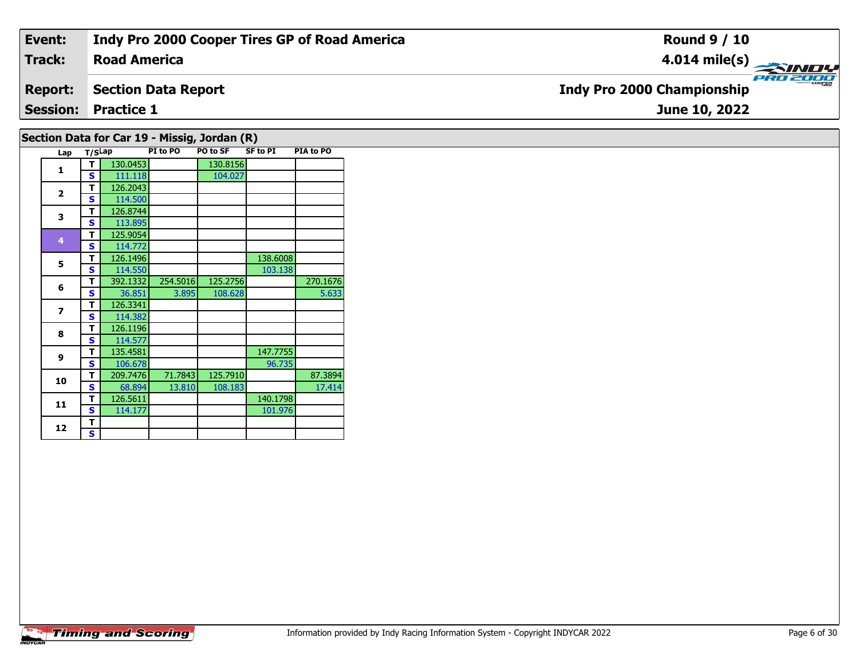| Event:                                       | <b>Indy Pro 2000 Cooper Tires GP of Road America</b> | <b>Round 9 / 10</b>                           |  |  |  |  |  |  |  |
|----------------------------------------------|------------------------------------------------------|-----------------------------------------------|--|--|--|--|--|--|--|
| <b>Track:</b>                                | <b>Road America</b>                                  | $4.014 \text{ mile(s)}$                       |  |  |  |  |  |  |  |
| <b>Report:</b>                               | <b>Section Data Report</b>                           | PRO 2000<br><b>Indy Pro 2000 Championship</b> |  |  |  |  |  |  |  |
|                                              | <b>Session: Practice 1</b>                           | June 10, 2022                                 |  |  |  |  |  |  |  |
| Section Data for Car 19 - Missig, Jordan (R) |                                                      |                                               |  |  |  |  |  |  |  |

|  | Lap                      | T/SLap |          | PI to PO | PO to SF | SF to PI | PIA to PO |
|--|--------------------------|--------|----------|----------|----------|----------|-----------|
|  |                          |        | 130.0453 |          | 130.8156 |          |           |
|  |                          | s      | 111 118  |          | 1በ4 በ2ነ  |          |           |
|  | $\overline{\phantom{a}}$ |        | .26.2043 |          |          |          |           |

|                | э | 111.110  |          | 104.027  |          |          |
|----------------|---|----------|----------|----------|----------|----------|
|                | т | 126.2043 |          |          |          |          |
| $\overline{2}$ | S | 114.500  |          |          |          |          |
| 3              | т | 126.8744 |          |          |          |          |
|                | S | 113.895  |          |          |          |          |
| 4              | т | 125.9054 |          |          |          |          |
|                | S | 114.772  |          |          |          |          |
| 5              | т | 126.1496 |          |          | 138.6008 |          |
|                | S | 114.550  |          |          | 103.138  |          |
| 6              | т | 392.1332 | 254.5016 | 125.2756 |          | 270.1676 |
|                | S | 36.851   | 3.895    | 108.628  |          | 5.633    |
| 7              | т | 126.3341 |          |          |          |          |
|                | s | 114.382  |          |          |          |          |
| 8              | т | 126.1196 |          |          |          |          |
|                | S | 114.577  |          |          |          |          |
| 9              | т | 135.4581 |          |          | 147.7755 |          |
|                | S | 106.678  |          |          | 96.735   |          |
| 10             | т | 209.7476 | 71.7843  | 125.7910 |          | 87.3894  |
|                | S | 68.894   | 13.810   | 108.183  |          | 17.414   |
| 11             | т | 126.5611 |          |          | 140.1798 |          |
|                | S | 114.177  |          |          | 101.976  |          |
|                | т |          |          |          |          |          |
| 12             | S |          |          |          |          |          |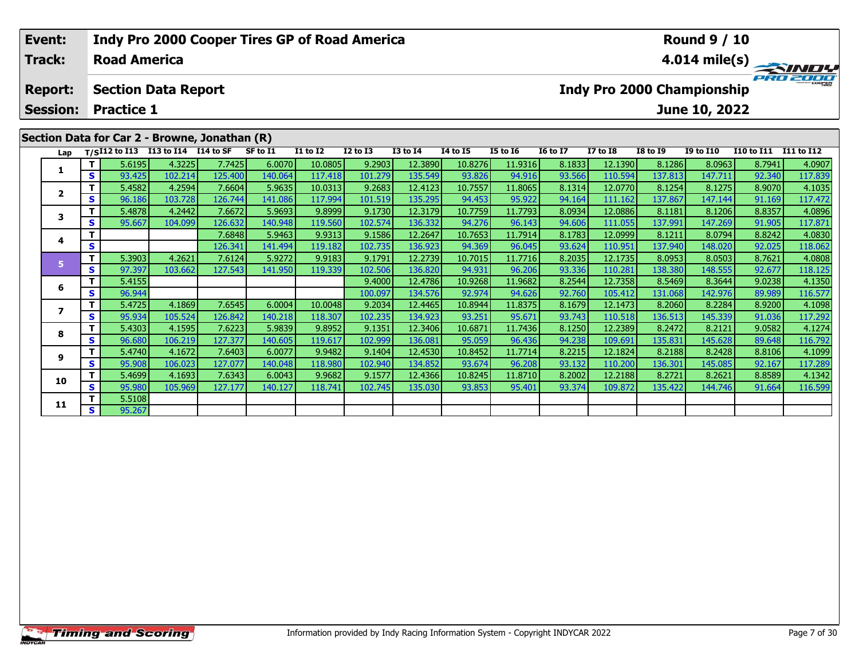| Event:          |    |                     |                                        | <b>Indy Pro 2000 Cooper Tires GP of Road America</b> |          |                 |              |                 |                 | <b>Round 9 / 10</b> |                 |              |                 |                            |                   |                         |
|-----------------|----|---------------------|----------------------------------------|------------------------------------------------------|----------|-----------------|--------------|-----------------|-----------------|---------------------|-----------------|--------------|-----------------|----------------------------|-------------------|-------------------------|
| <b>Track:</b>   |    | <b>Road America</b> |                                        |                                                      |          |                 |              |                 |                 |                     |                 |              |                 |                            |                   | $4.014 \text{ mile(s)}$ |
| <b>Report:</b>  |    |                     | <b>Section Data Report</b>             |                                                      |          |                 |              |                 |                 |                     |                 |              |                 | Indy Pro 2000 Championship |                   | PRO 2000                |
| <b>Session:</b> |    | <b>Practice 1</b>   |                                        |                                                      |          |                 |              |                 |                 |                     |                 |              |                 | June 10, 2022              |                   |                         |
|                 |    |                     |                                        | Section Data for Car 2 - Browne, Jonathan (R)        |          |                 |              |                 |                 |                     |                 |              |                 |                            |                   |                         |
|                 |    |                     | Lap T/SI12 to I13 I13 to I14 I14 to SF |                                                      | SF to I1 | <b>I1 to I2</b> | $I2$ to $I3$ | <b>I3 to I4</b> | <b>I4 to I5</b> | <b>I5 to 16</b>     | <b>16 to 17</b> | $I7$ to $I8$ | <b>I8 to 19</b> | <b>I9 to I10</b>           | <b>I10 to I11</b> | <b>I11 to I12</b>       |
|                 |    | 5.6195              | 4.3225                                 | 7.7425                                               | 6.0070   | 10.0805         | 9.2903       | 12.3890         | 10.8276         | 11.9316             | 8.1833          | 12.1390      | 8.1286          | 8.0963                     | 8.7941            | 4.0907                  |
|                 | S. | 93.425              | 102.214                                | 125.400                                              | 140.064  | 117.418         | 101.279      | 135.549         | 93.826          | 94.916              | 93.566          | 110.594      | 137.813         | 147.711                    | 92.340            | 117.839                 |
|                 |    | 5.4582              | 4.2594                                 | 7.6604                                               | 5.9635   | 10.0313         | 9.2683       | 12.4123         | 10.7557         | 11.8065             | 8.1314          | 12.0770      | 8.1254          | 8.1275                     | 8.9070            | 4.1035                  |
| $\mathbf{2}$    | S. | 96.186              | 103.728                                | 126,744                                              | 141.086  | 117.994         | 101.519      | 135.295         | 94.453          | 95.922              | 94.164          | 111.162      | 137.867         | 147.144                    | 91.169            | 117.472                 |

3 | T | 5.4878| 4.2442| 7.6672| 5.9693| 9.8999| 9.1730| 12.3179| 10.7759| 11.7793| 8.0934| 12.0886| 8.1181| 8.1206| 8.8357| 4.0896<br>| S | 95.667| 104.099| 126.632| 140.948| 119.560| 102.574| 136.332| 94.276| 96.143| 94.606|

**<sup>T</sup>** 7.6848 5.9463 9.9313 9.1586 12.2647 10.7653 11.7914 8.1783 12.0999 8.1211 8.0794 8.8242 4.0830 **<sup>S</sup>** 126.341 141.494 119.182 102.735 136.923 94.369 96.045 93.624 110.951 137.940 148.020 92.025 118.062

**<sup>T</sup>** 5.3903 4.2621 7.6124 5.9272 9.9183 9.1791 12.2739 10.7015 11.7716 8.2035 12.1735 8.0953 8.0503 8.7621 4.0808 **<sup>S</sup>** 97.397 103.662 127.543 141.950 119.339 102.506 136.820 94.931 96.206 93.336 110.281 138.380 148.555 92.677 118.125

**<sup>T</sup>** 5.4155 9.4000 12.4786 10.9268 11.9682 8.2544 12.7358 8.5469 8.3644 9.0238 4.1350 **<sup>S</sup>** 96.944 100.097 134.576 92.974 94.626 92.760 105.412 131.068 142.976 89.989 116.577

7 | T | 5.4725| 4.1869| 7.6545| 6.0004| 10.0048| 9.2034| 12.4465| 10.8944| 11.8375| 8.1679| 12.1473| 8.2060| 8.2284| 8.9200| 4.1098<br>7 | S | 95.934 105.524 126.842 140.218 118.307 102.235 134.923 93.251 95.671 93.743 110.51

8 T | 5.4303 4.1595 7.6223 5.9839 9.8952 9.1351 12.3406 10.6871 11.7436 8.1250 12.2389 8.2472 8.2121 9.0582 4.1274<br>8 S 96.680 106.219 127.377 140.605 119.617 102.999 136.081 95.059 96.436 94.238 109.691 135.831 145.628 89.

**<sup>T</sup>** 5.4740 4.1672 7.6403 6.0077 9.9482 9.1404 12.4530 10.8452 11.7714 8.2215 12.1824 8.2188 8.2428 8.8106 4.1099 **<sup>S</sup>** 95.908 106.023 127.077 140.048 118.980 102.940 134.852 93.674 96.208 93.132 110.200 136.301 145.085 92.167 117.289

0 T 5.4699 4.1693 7.6343 6.0043 9.9682 9.1577 12.4366 10.8245 11.8710 8.2002 12.2188 8.2721 8.2621 8.8589 4.1342<br>S 95.980 105.969 127.177 140.127 118.741 102.745 135.030 93.853 95.401 93.374 109.872 135.422 144.746 91.664

# **Timing and Scoring**

**<sup>T</sup>** 5.5108 **<sup>S</sup>** 95.267

**3**

**4**

**5**

**6**

**7**

**8**

**9**

**10**

**11**

118.06

117.292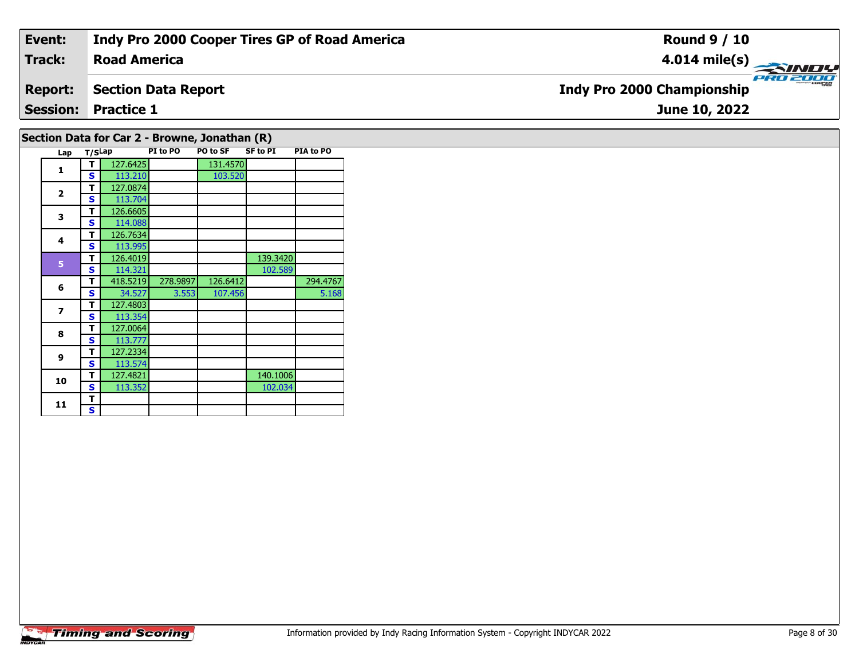| Event:                                        | Indy Pro 2000 Cooper Tires GP of Road America | <b>Round 9 / 10</b>                           |  |  |  |  |  |  |  |  |  |
|-----------------------------------------------|-----------------------------------------------|-----------------------------------------------|--|--|--|--|--|--|--|--|--|
| <b>Track:</b>                                 | <b>Road America</b>                           |                                               |  |  |  |  |  |  |  |  |  |
| <b>Report:</b>                                | Section Data Report                           | PRO 2000<br><b>Indy Pro 2000 Championship</b> |  |  |  |  |  |  |  |  |  |
|                                               | <b>Session: Practice 1</b><br>June 10, 2022   |                                               |  |  |  |  |  |  |  |  |  |
| Section Data for Car 2 - Browne, Jonathan (R) |                                               |                                               |  |  |  |  |  |  |  |  |  |

| Lap            | T/SLap |          | PI to PO | PO to SF | SF to PI | <b>PIA to PO</b> |
|----------------|--------|----------|----------|----------|----------|------------------|
| 1              | т      | 127.6425 |          | 131.4570 |          |                  |
|                | S      | 113.210  |          | 103.520  |          |                  |
| $\overline{2}$ | т      | 127.0874 |          |          |          |                  |
|                | S      | 113.704  |          |          |          |                  |
| 3              | т      | 126.6605 |          |          |          |                  |
|                | S      | 114.088  |          |          |          |                  |
| 4              | т      | 126.7634 |          |          |          |                  |
|                | S      | 113.995  |          |          |          |                  |
| 5              | т      | 126.4019 |          |          | 139.3420 |                  |
|                | S      | 114.321  |          |          | 102.589  |                  |
| 6              | т      | 418.5219 | 278.9897 | 126.6412 |          | 294.4767         |
|                | S      | 34.527   | 3.553    | 107.456  |          | 5.168            |
| 7              | т      | 127.4803 |          |          |          |                  |
|                | S      | 113.354  |          |          |          |                  |
| 8              | т      | 127.0064 |          |          |          |                  |
|                | s      | 113.777  |          |          |          |                  |
| 9              | т      | 127.2334 |          |          |          |                  |
|                | S      | 113.574  |          |          |          |                  |
| 10             | т      | 127.4821 |          |          | 140.1006 |                  |
|                | S      | 113.352  |          |          | 102.034  |                  |
| 11             | т      |          |          |          |          |                  |
|                | S      |          |          |          |          |                  |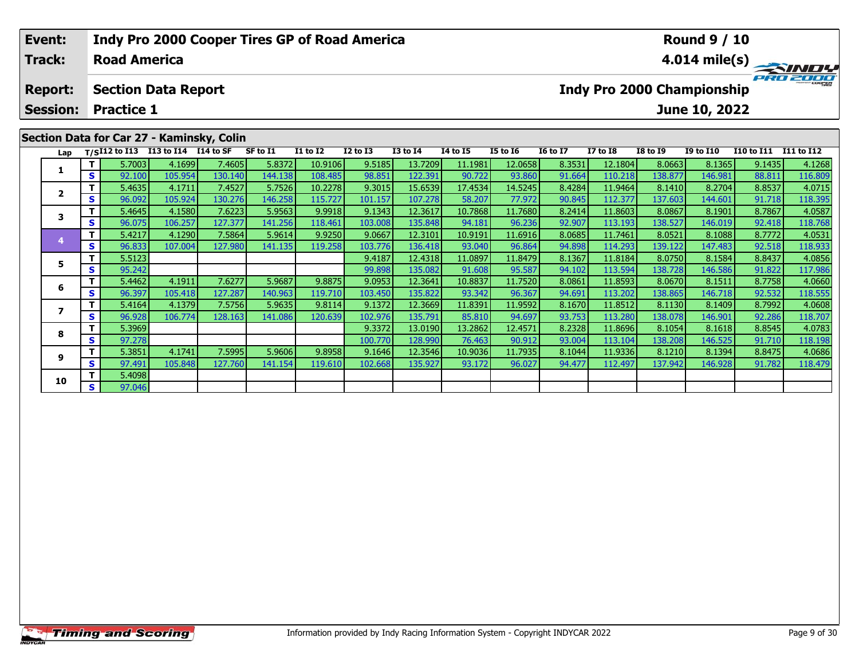| Event:          |            |                     | <b>Indy Pro 2000 Cooper Tires GP of Road America</b> |         |           |                 |              |                 |                 |          |                 |                 |                 | <b>Round 9 / 10</b>        |                   |                         |
|-----------------|------------|---------------------|------------------------------------------------------|---------|-----------|-----------------|--------------|-----------------|-----------------|----------|-----------------|-----------------|-----------------|----------------------------|-------------------|-------------------------|
| <b>Track:</b>   |            | <b>Road America</b> |                                                      |         |           |                 |              |                 |                 |          |                 |                 |                 |                            |                   | $4.014 \text{ mile(s)}$ |
| <b>Report:</b>  |            |                     | <b>Section Data Report</b>                           |         |           |                 |              |                 |                 |          |                 |                 |                 | Indy Pro 2000 Championship |                   |                         |
| <b>Session:</b> |            | <b>Practice 1</b>   |                                                      |         |           |                 |              |                 |                 |          |                 |                 |                 | June 10, 2022              |                   |                         |
|                 |            |                     | Section Data for Car 27 - Kaminsky, Colin            |         |           |                 |              |                 |                 |          |                 |                 |                 |                            |                   |                         |
| Lap             |            |                     | $T/SI12$ to I13 I13 to I14 I14 to SF                 |         | SF to I1  | <b>I1 to I2</b> | $I2$ to $I3$ | <b>I3 to I4</b> | <b>I4 to I5</b> | I5 to 16 | <b>16 to 17</b> | <b>I7 to I8</b> | <b>I8 to I9</b> | <b>I9 to I10</b>           | <b>I10 to I11</b> | I11 to I12              |
|                 |            | 5.7003              | 4.1699                                               | 7.4605  | 5.8372    | 10.9106         | 9.5185       | 13.7209         | 11.1981         | 12.0658  | 8.3531          | 12.1804         | 8.0663          | 8.1365                     | 9.1435            | 4.1268                  |
|                 | S I        | 92.100              | 105.954                                              | 130.140 | 144.138   | 108.485         | 98.851       | 122.391         | 90.722          | 93.860   | 91.664          | 110.218         | 138.877         | 146.981                    | 88.811            | 116.809                 |
|                 |            | 5.4635              | 4.1711                                               | 7.4527  | 5.7526    | 10.2278         | 9.3015       | 15.6539         | 17.4534         | 14.5245  | 8.4284          | 11.9464         | 8.1410          | 8.2704                     | 8.8537            | 4.0715                  |
| 2               | $\epsilon$ | ne non L            | $ADE$ $D2A$                                          | 120.27c | $14C$ 250 | 115721          | 101157       | 107.220         | <b>CO 207</b>   | 77021    | <b>OO OAEL</b>  | 11227           | $127$ cost      | 144.001                    | 01710             | 11020E                  |

| S.<br>90.722<br>130.140<br>98.851<br>122.391<br>93.860<br>138.877<br>146.981<br>88.811<br>116.809<br>92.100<br>105.954<br>144.138<br>108.4851<br>91.664<br>110.218<br>5.4635<br>5.7526<br>9.3015<br>15.6539<br>14.5245<br>7.4527<br>10.2278<br>17.4534<br>8.4284<br>8.2704<br>8.8537<br>4.0715<br>4.1711<br>11.9464<br>8.1410<br>$\overline{\mathbf{2}}$<br>77.972<br>137.603<br>96.092<br>130.276<br>146.258<br>115.727<br>101.157<br>107.278<br>58.207<br>112.377<br>91.718<br>118.395<br>S.<br>105.924<br>90.845<br>144.601<br>7.6223<br>5.9563<br>9.9918<br>9.1343<br>12.3617<br>11.7680<br>8.0867<br>8.7867<br>4.0587<br>5.4645<br>4.1580<br>10.7868<br>8.2414<br>11.8603<br>8.1901<br>3<br>S<br>96.075<br>127.377<br>103.008<br>135.848<br>96.236<br>92.907<br>138.527<br>106.257<br>141.256<br>118.461<br>94.181<br>113.193<br>146.019 <br>92.418<br>118.768<br>5.4217<br>7.5864<br>5.9614<br>9.9250<br>9.0667<br>12.3101<br>8.0521<br>8.7772<br>4.0531<br>4.1290<br>10.9191<br>11.6916<br>8.0685<br>11.7461<br>8.1088<br>96.833<br>92.518<br>118.933<br>S.<br>107.004<br>127.980<br>141.135<br>119.258<br>103.776<br>93.040<br>96.864<br>94.898<br>114.293<br>139.122<br>147.483<br>136.418<br>5.5123<br>9.4187<br>8.0750<br>8.8437<br>12.4318<br>11.0897<br>11.8479<br>8.1367<br>11.8184<br>8.1584<br>4.0856<br>5.<br>95.242<br>S.<br>99.898<br>135.082<br>91.608<br>95.587<br>138.728<br>91.822<br>117.986<br>94.102<br>113.594<br>146.586<br>5.4462<br>7.6277<br>5.9687<br>9.8875<br>9.0953<br>12.3641<br>11.7520<br>8.0670<br>8.7758<br>4.0660<br>10.8837<br>8.0861<br>11.8593<br>8.1511<br>4.1911<br>6<br>S<br>118.555<br>96.397<br>127.287<br>103.450<br>135.822<br>93.342<br>96.367<br>138.865<br>92.532<br>105.418<br>140.963<br>119.710<br>94.691<br>113.202<br>146.718<br>5.9635<br>5.4164<br>4.1379<br>7.5756<br>9.1372<br>12.3669<br>11.9592<br>11.8512<br>8.1130<br>8.7992<br>4.0608<br>9.8114<br>11.8391<br>8.1670<br>8.1409<br>7<br>S<br>96.928<br>102.976<br>135.791<br>94.697<br>93.753<br>92.286<br>118.707<br>106.774<br>128.163<br>141.086<br>120.639<br>85.810<br>113.280<br>138.078<br>146.901<br>5.3969<br>9.3372<br>13.0190<br>8.2328<br>11.8696<br>8.1054<br>8.8545<br>4.0783<br>13.2862<br>12.4571<br>8.1618<br>8<br>97.278<br>100.770<br>76.463<br>90.912<br>138.208<br>91.710<br>S.<br>128.990<br>93.004<br>113.104<br>146.525<br>118.198<br>5.3851<br>8.8475<br>7.5995<br>5.9606<br>9.8958<br>9.1646<br>12.3546<br>10.9036<br>11.7935<br>11.9336<br>8.1210<br>8.1394<br>4.1741<br>8.1044<br>4.0686<br>9<br>S.<br>127.760<br>102.668<br>135.927<br>96.027<br>137.942<br>91.782<br>97.491<br>105.848<br>141.154<br>93.172<br>112.497<br>146.928<br>118.479<br>119.610<br>94.477<br>5.4098<br>10<br>S.<br>97.046 |  | <u>,,,,,,</u> | <br>1.1003 | ------ | 10.JIVV | ,,,,,, | -- <i>--</i> -- | ------- | 14.00JU | <br>14.100 L | <u></u> | <br>- - - | . |
|----------------------------------------------------------------------------------------------------------------------------------------------------------------------------------------------------------------------------------------------------------------------------------------------------------------------------------------------------------------------------------------------------------------------------------------------------------------------------------------------------------------------------------------------------------------------------------------------------------------------------------------------------------------------------------------------------------------------------------------------------------------------------------------------------------------------------------------------------------------------------------------------------------------------------------------------------------------------------------------------------------------------------------------------------------------------------------------------------------------------------------------------------------------------------------------------------------------------------------------------------------------------------------------------------------------------------------------------------------------------------------------------------------------------------------------------------------------------------------------------------------------------------------------------------------------------------------------------------------------------------------------------------------------------------------------------------------------------------------------------------------------------------------------------------------------------------------------------------------------------------------------------------------------------------------------------------------------------------------------------------------------------------------------------------------------------------------------------------------------------------------------------------------------------------------------------------------------------------------------------------------------------------------------------------------------------------------------------------------------------------------------------------------------------------------------------------------------------------------------------------------------------------------------------------------------------------------------------------------------------------------------------------------------------------------------------------------------------------------------------------|--|---------------|------------|--------|---------|--------|-----------------|---------|---------|--------------|---------|-----------|---|
|                                                                                                                                                                                                                                                                                                                                                                                                                                                                                                                                                                                                                                                                                                                                                                                                                                                                                                                                                                                                                                                                                                                                                                                                                                                                                                                                                                                                                                                                                                                                                                                                                                                                                                                                                                                                                                                                                                                                                                                                                                                                                                                                                                                                                                                                                                                                                                                                                                                                                                                                                                                                                                                                                                                                                    |  |               |            |        |         |        |                 |         |         |              |         |           |   |
|                                                                                                                                                                                                                                                                                                                                                                                                                                                                                                                                                                                                                                                                                                                                                                                                                                                                                                                                                                                                                                                                                                                                                                                                                                                                                                                                                                                                                                                                                                                                                                                                                                                                                                                                                                                                                                                                                                                                                                                                                                                                                                                                                                                                                                                                                                                                                                                                                                                                                                                                                                                                                                                                                                                                                    |  |               |            |        |         |        |                 |         |         |              |         |           |   |
|                                                                                                                                                                                                                                                                                                                                                                                                                                                                                                                                                                                                                                                                                                                                                                                                                                                                                                                                                                                                                                                                                                                                                                                                                                                                                                                                                                                                                                                                                                                                                                                                                                                                                                                                                                                                                                                                                                                                                                                                                                                                                                                                                                                                                                                                                                                                                                                                                                                                                                                                                                                                                                                                                                                                                    |  |               |            |        |         |        |                 |         |         |              |         |           |   |
|                                                                                                                                                                                                                                                                                                                                                                                                                                                                                                                                                                                                                                                                                                                                                                                                                                                                                                                                                                                                                                                                                                                                                                                                                                                                                                                                                                                                                                                                                                                                                                                                                                                                                                                                                                                                                                                                                                                                                                                                                                                                                                                                                                                                                                                                                                                                                                                                                                                                                                                                                                                                                                                                                                                                                    |  |               |            |        |         |        |                 |         |         |              |         |           |   |
|                                                                                                                                                                                                                                                                                                                                                                                                                                                                                                                                                                                                                                                                                                                                                                                                                                                                                                                                                                                                                                                                                                                                                                                                                                                                                                                                                                                                                                                                                                                                                                                                                                                                                                                                                                                                                                                                                                                                                                                                                                                                                                                                                                                                                                                                                                                                                                                                                                                                                                                                                                                                                                                                                                                                                    |  |               |            |        |         |        |                 |         |         |              |         |           |   |
|                                                                                                                                                                                                                                                                                                                                                                                                                                                                                                                                                                                                                                                                                                                                                                                                                                                                                                                                                                                                                                                                                                                                                                                                                                                                                                                                                                                                                                                                                                                                                                                                                                                                                                                                                                                                                                                                                                                                                                                                                                                                                                                                                                                                                                                                                                                                                                                                                                                                                                                                                                                                                                                                                                                                                    |  |               |            |        |         |        |                 |         |         |              |         |           |   |
|                                                                                                                                                                                                                                                                                                                                                                                                                                                                                                                                                                                                                                                                                                                                                                                                                                                                                                                                                                                                                                                                                                                                                                                                                                                                                                                                                                                                                                                                                                                                                                                                                                                                                                                                                                                                                                                                                                                                                                                                                                                                                                                                                                                                                                                                                                                                                                                                                                                                                                                                                                                                                                                                                                                                                    |  |               |            |        |         |        |                 |         |         |              |         |           |   |
|                                                                                                                                                                                                                                                                                                                                                                                                                                                                                                                                                                                                                                                                                                                                                                                                                                                                                                                                                                                                                                                                                                                                                                                                                                                                                                                                                                                                                                                                                                                                                                                                                                                                                                                                                                                                                                                                                                                                                                                                                                                                                                                                                                                                                                                                                                                                                                                                                                                                                                                                                                                                                                                                                                                                                    |  |               |            |        |         |        |                 |         |         |              |         |           |   |
|                                                                                                                                                                                                                                                                                                                                                                                                                                                                                                                                                                                                                                                                                                                                                                                                                                                                                                                                                                                                                                                                                                                                                                                                                                                                                                                                                                                                                                                                                                                                                                                                                                                                                                                                                                                                                                                                                                                                                                                                                                                                                                                                                                                                                                                                                                                                                                                                                                                                                                                                                                                                                                                                                                                                                    |  |               |            |        |         |        |                 |         |         |              |         |           |   |
|                                                                                                                                                                                                                                                                                                                                                                                                                                                                                                                                                                                                                                                                                                                                                                                                                                                                                                                                                                                                                                                                                                                                                                                                                                                                                                                                                                                                                                                                                                                                                                                                                                                                                                                                                                                                                                                                                                                                                                                                                                                                                                                                                                                                                                                                                                                                                                                                                                                                                                                                                                                                                                                                                                                                                    |  |               |            |        |         |        |                 |         |         |              |         |           |   |
|                                                                                                                                                                                                                                                                                                                                                                                                                                                                                                                                                                                                                                                                                                                                                                                                                                                                                                                                                                                                                                                                                                                                                                                                                                                                                                                                                                                                                                                                                                                                                                                                                                                                                                                                                                                                                                                                                                                                                                                                                                                                                                                                                                                                                                                                                                                                                                                                                                                                                                                                                                                                                                                                                                                                                    |  |               |            |        |         |        |                 |         |         |              |         |           |   |
|                                                                                                                                                                                                                                                                                                                                                                                                                                                                                                                                                                                                                                                                                                                                                                                                                                                                                                                                                                                                                                                                                                                                                                                                                                                                                                                                                                                                                                                                                                                                                                                                                                                                                                                                                                                                                                                                                                                                                                                                                                                                                                                                                                                                                                                                                                                                                                                                                                                                                                                                                                                                                                                                                                                                                    |  |               |            |        |         |        |                 |         |         |              |         |           |   |
|                                                                                                                                                                                                                                                                                                                                                                                                                                                                                                                                                                                                                                                                                                                                                                                                                                                                                                                                                                                                                                                                                                                                                                                                                                                                                                                                                                                                                                                                                                                                                                                                                                                                                                                                                                                                                                                                                                                                                                                                                                                                                                                                                                                                                                                                                                                                                                                                                                                                                                                                                                                                                                                                                                                                                    |  |               |            |        |         |        |                 |         |         |              |         |           |   |
|                                                                                                                                                                                                                                                                                                                                                                                                                                                                                                                                                                                                                                                                                                                                                                                                                                                                                                                                                                                                                                                                                                                                                                                                                                                                                                                                                                                                                                                                                                                                                                                                                                                                                                                                                                                                                                                                                                                                                                                                                                                                                                                                                                                                                                                                                                                                                                                                                                                                                                                                                                                                                                                                                                                                                    |  |               |            |        |         |        |                 |         |         |              |         |           |   |
|                                                                                                                                                                                                                                                                                                                                                                                                                                                                                                                                                                                                                                                                                                                                                                                                                                                                                                                                                                                                                                                                                                                                                                                                                                                                                                                                                                                                                                                                                                                                                                                                                                                                                                                                                                                                                                                                                                                                                                                                                                                                                                                                                                                                                                                                                                                                                                                                                                                                                                                                                                                                                                                                                                                                                    |  |               |            |        |         |        |                 |         |         |              |         |           |   |
|                                                                                                                                                                                                                                                                                                                                                                                                                                                                                                                                                                                                                                                                                                                                                                                                                                                                                                                                                                                                                                                                                                                                                                                                                                                                                                                                                                                                                                                                                                                                                                                                                                                                                                                                                                                                                                                                                                                                                                                                                                                                                                                                                                                                                                                                                                                                                                                                                                                                                                                                                                                                                                                                                                                                                    |  |               |            |        |         |        |                 |         |         |              |         |           |   |
|                                                                                                                                                                                                                                                                                                                                                                                                                                                                                                                                                                                                                                                                                                                                                                                                                                                                                                                                                                                                                                                                                                                                                                                                                                                                                                                                                                                                                                                                                                                                                                                                                                                                                                                                                                                                                                                                                                                                                                                                                                                                                                                                                                                                                                                                                                                                                                                                                                                                                                                                                                                                                                                                                                                                                    |  |               |            |        |         |        |                 |         |         |              |         |           |   |
|                                                                                                                                                                                                                                                                                                                                                                                                                                                                                                                                                                                                                                                                                                                                                                                                                                                                                                                                                                                                                                                                                                                                                                                                                                                                                                                                                                                                                                                                                                                                                                                                                                                                                                                                                                                                                                                                                                                                                                                                                                                                                                                                                                                                                                                                                                                                                                                                                                                                                                                                                                                                                                                                                                                                                    |  |               |            |        |         |        |                 |         |         |              |         |           |   |
|                                                                                                                                                                                                                                                                                                                                                                                                                                                                                                                                                                                                                                                                                                                                                                                                                                                                                                                                                                                                                                                                                                                                                                                                                                                                                                                                                                                                                                                                                                                                                                                                                                                                                                                                                                                                                                                                                                                                                                                                                                                                                                                                                                                                                                                                                                                                                                                                                                                                                                                                                                                                                                                                                                                                                    |  |               |            |        |         |        |                 |         |         |              |         |           |   |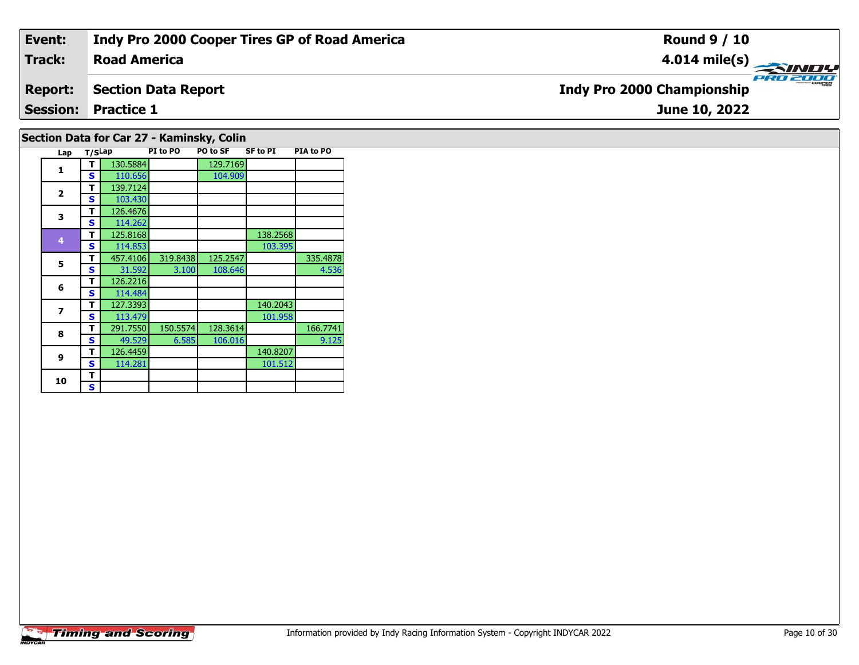| Event:                                    | Indy Pro 2000 Cooper Tires GP of Road America | <b>Round 9 / 10</b>                           |  |  |  |  |  |  |  |  |
|-------------------------------------------|-----------------------------------------------|-----------------------------------------------|--|--|--|--|--|--|--|--|
| <b>Track:</b>                             | <b>Road America</b>                           |                                               |  |  |  |  |  |  |  |  |
| <b>Report:</b>                            | Section Data Report                           | PRO 2000<br><b>Indy Pro 2000 Championship</b> |  |  |  |  |  |  |  |  |
|                                           | <b>Session: Practice 1</b>                    | June 10, 2022                                 |  |  |  |  |  |  |  |  |
| Section Data for Car 27 - Kaminsky, Colin |                                               |                                               |  |  |  |  |  |  |  |  |

| Lap          | T/SLap |          | PI to PO | <b>PO to SF</b> | SF to PI | <b>PIA to PO</b> |
|--------------|--------|----------|----------|-----------------|----------|------------------|
| 1            | т      | 130.5884 |          | 129.7169        |          |                  |
|              | S      | 110.656  |          | 104.909         |          |                  |
|              | т      | 139.7124 |          |                 |          |                  |
| $\mathbf{2}$ | S      | 103.430  |          |                 |          |                  |
| 3            | т      | 126.4676 |          |                 |          |                  |
|              | S      | 114.262  |          |                 |          |                  |
| 4            | т      | 125.8168 |          |                 | 138.2568 |                  |
|              | S      | 114.853  |          |                 | 103.395  |                  |
| 5            | т      | 457.4106 | 319.8438 | 125.2547        |          | 335.4878         |
|              | S      | 31.592   | 3.100    | 108.646         |          | 4.536            |
| 6            | т      | 126.2216 |          |                 |          |                  |
|              | s      | 114.484  |          |                 |          |                  |
| 7            | т      | 127.3393 |          |                 | 140.2043 |                  |
|              | S      | 113.479  |          |                 | 101.958  |                  |
| 8            | т      | 291.7550 | 150.5574 | 128.3614        |          | 166.7741         |
|              | S      | 49.529   | 6.585    | 106.016         |          | 9.125            |
| 9            | т      | 126.4459 |          |                 | 140.8207 |                  |
|              | S      | 114.281  |          |                 | 101.512  |                  |
| 10           | т      |          |          |                 |          |                  |
|              | S      |          |          |                 |          |                  |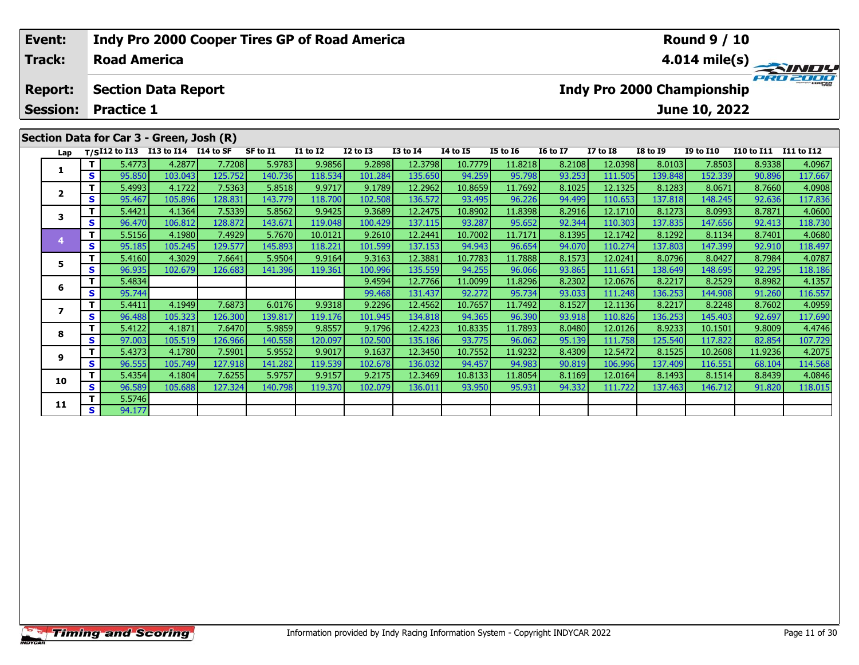| Event:          |    |                     |                                          |         |          |              | <b>Indy Pro 2000 Cooper Tires GP of Road America</b> |                 |          |                 |                 |                            |                 | <b>Round 9 / 10</b> |                   |                         |
|-----------------|----|---------------------|------------------------------------------|---------|----------|--------------|------------------------------------------------------|-----------------|----------|-----------------|-----------------|----------------------------|-----------------|---------------------|-------------------|-------------------------|
| Track:          |    | <b>Road America</b> |                                          |         |          |              |                                                      |                 |          |                 |                 |                            |                 |                     |                   | $4.014 \text{ mile(s)}$ |
| <b>Report:</b>  |    |                     | <b>Section Data Report</b>               |         |          |              |                                                      |                 |          |                 |                 | Indy Pro 2000 Championship |                 |                     |                   | PRO 2000                |
| <b>Session:</b> |    | <b>Practice 1</b>   |                                          |         |          |              |                                                      |                 |          |                 |                 |                            |                 | June 10, 2022       |                   |                         |
|                 |    |                     | Section Data for Car 3 - Green, Josh (R) |         |          |              |                                                      |                 |          |                 |                 |                            |                 |                     |                   |                         |
| Lap             |    |                     | $T/SI12$ to I13 I13 to I14 I14 to SF     |         | SF to I1 | $I1$ to $I2$ | <b>I2 to I3</b>                                      | <b>I3 to I4</b> | 14 to 15 | <b>I5 to 16</b> | <b>16 to 17</b> | <b>I7 to I8</b>            | <b>I8 to I9</b> | <b>I9 to I10</b>    | <b>I10 to I11</b> | I11 to I12              |
|                 |    | 5.4773              | 4.2877                                   | 7.7208  | 5.9783   | 9.9856       | 9.2898                                               | 12.3798         | 10.7779  | 11.8218         | 8.2108          | 12.0398                    | 8.0103          | 7.8503              | 8.9338            | 4.0967                  |
| л.              | S. | 95.850              | 103.043                                  | 125.752 | 140.736  | 118.534      | 101.284                                              | 135.650         | 94.259   | 95.798          | 93.253          | 111.505                    | 139.848         | 152.339             | 90.896            | 117.667                 |
|                 |    | 5.4993              | 4.1722                                   | 7.5363  | 5.8518   | 9.9717       | 9.1789                                               | 12.2962         | 10.8659  | 11.7692         | 8.1025          | 12.1325                    | 8.1283          | 8.0671              | 8.7660            | 4.0908                  |
| $\mathbf{2}$    | S. | 95.467              | 105.896                                  | 128.831 | 143.779  | 118.700      | 102.508                                              | 136.572         | 93.495   | 96.226          | 94.499          | 110.653                    | 137.818         | 148.245             | 92.636            | 117.836                 |
|                 |    | 5.4421              | 4.1364                                   | 7.5339  | 5.8562   | 9.9425       | 9.3689                                               | 12.2475         | 10.8902  | 11.8398         | 8.2916          | 12.1710                    | 8.1273          | 8.0993              | 8.7871            | 4.0600                  |
|                 | S. | 96.470              | 106.812                                  | 128.872 | 143.671  | 119.048      | 100.429                                              | 137.115         | 93.287   | 95.652          | 92.344          | 110.303                    | 137.835         | 147.656             | 92.413            | 118.730                 |

**<sup>T</sup>** 5.5156 4.1980 7.4929 5.7670 10.0121 9.2610 12.2441 10.7002 11.7171 8.1395 12.1742 8.1292 8.1134 8.7401 4.0680 **<sup>S</sup>** 95.185 105.245 129.577 145.893 118.221 101.599 137.153 94.943 96.654 94.070 110.274 137.803 147.399 92.910 118.497

**<sup>T</sup>** 5.4160 4.3029 7.6641 5.9504 9.9164 9.3163 12.3881 10.7783 11.7888 8.1573 12.0241 8.0796 8.0427 8.7984 4.0787 **<sup>S</sup>** 96.935 102.679 126.683 141.396 119.361 100.996 135.559 94.255 96.066 93.865 111.651 138.649 148.695 92.295 118.186

**<sup>T</sup>** 5.4834 9.4594 12.7766 11.0099 11.8296 8.2302 12.0676 8.2217 8.2529 8.8982 4.1357 **<sup>S</sup>** 95.744 99.468 131.437 92.272 95.734 93.033 111.248 136.253 144.908 91.260 116.557

7 | T | 5.4411 | 4.1949 | 7.6873 | 6.0176 | 9.9318 | 9.2296 | 12.4562 | 10.7657 | 11.7492 | 8.1527 | 12.1136 | 8.2217 | 8.2248 | 8.7602 | 4.0959<br>7 | S | 96.488 | 105.323 | 126.300 | 139.817 | 119.176 | 101.945 | 134.818 |

8 T 5.4122 4.1871 7.6470 5.9859 9.8557 9.1796 12.4223 10.8335 11.7893 8.0480 12.0126 8.9233 10.1501 9.8009 4.4746<br>8 S 97.003 105.519 126.966 140.558 120.097 102.500 135.186 93.775 96.062 95.139 111.758 125.540 117.822 82.8

1.9236 1.19236 1.19236 1.19236 1.19236 1.19232 1.19232 1.19232 1.19232 1.5472 1.5472 1.19236 1.19236 1.19236 4<br>S 96.555 105.749 127.918 141.282 119.539 102.678 136.032 94.457 94.983 90.819 106.996 137.409 116.551 68.104 1

**<sup>T</sup>** 5.4354 4.1804 7.6255 5.9757 9.9157 9.2175 12.3469 10.8133 11.8054 8.1169 12.0164 8.1493 8.1514 8.8439 4.0846 **<sup>S</sup>** 96.589 105.688 127.324 140.798 119.370 102.079 136.011 93.950 95.931 94.332 111.722 137.463 146.712 91.820 118.015

**4**

**5**

**6**

**7**

**8**

**9**

**10**

**11**

**<sup>T</sup>** 5.5746 **<sup>S</sup>** 94.177

118.497

117.690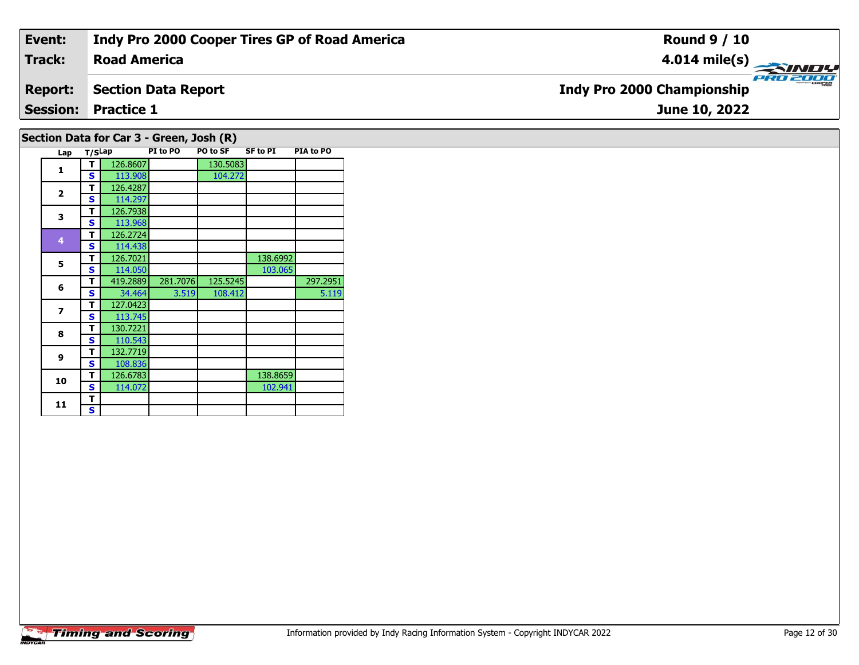| Event:                                   | Indy Pro 2000 Cooper Tires GP of Road America | <b>Round 9 / 10</b>                           |  |  |  |  |  |  |  |
|------------------------------------------|-----------------------------------------------|-----------------------------------------------|--|--|--|--|--|--|--|
| <b>Track:</b>                            | <b>Road America</b>                           | 4.014 mile(s) $\rightarrow$                   |  |  |  |  |  |  |  |
| <b>Report:</b>                           | <b>Section Data Report</b>                    | PRO 2000<br><b>Indy Pro 2000 Championship</b> |  |  |  |  |  |  |  |
|                                          | <b>Session: Practice 1</b>                    | June 10, 2022                                 |  |  |  |  |  |  |  |
| Section Data for Car 3 - Green, Josh (R) |                                               |                                               |  |  |  |  |  |  |  |

| Lap            | T/SLap |          | PI to PO | <b>PO to SF</b> | <b>SF to PI</b> | PIA to PO |
|----------------|--------|----------|----------|-----------------|-----------------|-----------|
| 1              | т      | 126.8607 |          | 130.5083        |                 |           |
|                | S      | 113.908  |          | 104.272         |                 |           |
| $\overline{2}$ | т      | 126.4287 |          |                 |                 |           |
|                | S      | 114.297  |          |                 |                 |           |
| 3              | т      | 126.7938 |          |                 |                 |           |
|                | S      | 113.968  |          |                 |                 |           |
| 4              | T      | 126.2724 |          |                 |                 |           |
|                | S      | 114.438  |          |                 |                 |           |
| 5              | т      | 126.7021 |          |                 | 138.6992        |           |
|                | S      | 114.050  |          |                 | 103.065         |           |
| 6              | т      | 419.2889 | 281.7076 | 125.5245        |                 | 297.2951  |
|                | S      | 34.464   | 3.519    | 108.412         |                 | 5.119     |
| 7              | т      | 127.0423 |          |                 |                 |           |
|                | S      | 113.745  |          |                 |                 |           |
| 8              | т      | 130.7221 |          |                 |                 |           |
|                | S      | 110.543  |          |                 |                 |           |
| 9              | т      | 132.7719 |          |                 |                 |           |
|                | s      | 108.836  |          |                 |                 |           |
| 10             | т      | 126.6783 |          |                 | 138.8659        |           |
|                | S      | 114.072  |          |                 | 102.941         |           |
| 11             | т      |          |          |                 |                 |           |
|                | S      |          |          |                 |                 |           |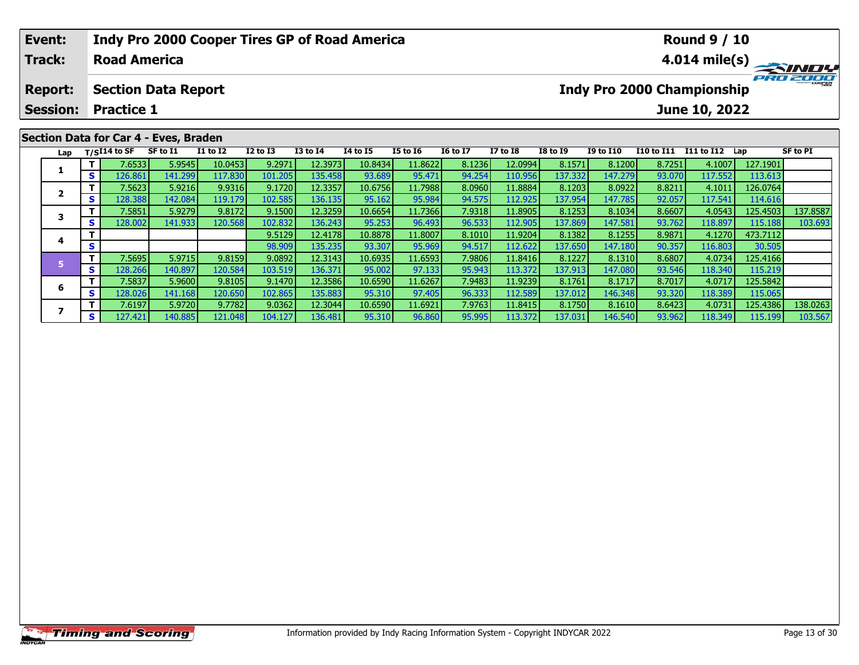| <b>Track:</b>  |                                                                                   |                     |                             |                                                                               |         |        | Indy Pro 2000 Cooper Tires GP of Road America |                     |                            |                           |                                                                                                                                                             |                      | <b>Round 9 / 10</b> |                             |                                                                                                                  |
|----------------|-----------------------------------------------------------------------------------|---------------------|-----------------------------|-------------------------------------------------------------------------------|---------|--------|-----------------------------------------------|---------------------|----------------------------|---------------------------|-------------------------------------------------------------------------------------------------------------------------------------------------------------|----------------------|---------------------|-----------------------------|------------------------------------------------------------------------------------------------------------------|
|                |                                                                                   | <b>Road America</b> |                             |                                                                               |         |        |                                               |                     |                            |                           |                                                                                                                                                             |                      |                     |                             | $4.014 \text{ mile(s)}$                                                                                          |
| <b>Report:</b> |                                                                                   |                     |                             |                                                                               |         |        |                                               |                     |                            |                           |                                                                                                                                                             |                      |                     |                             | PRO 2000                                                                                                         |
| Lap            | SF to I1<br><b>I1 to I2</b><br>$I2$ to $I3$<br><b>I3 to I4</b><br><b>I4 to I5</b> |                     |                             |                                                                               |         |        |                                               |                     |                            |                           |                                                                                                                                                             |                      |                     |                             | <b>SF to PI</b>                                                                                                  |
|                |                                                                                   |                     |                             |                                                                               |         |        |                                               |                     |                            |                           |                                                                                                                                                             |                      |                     |                             |                                                                                                                  |
|                | <b>Session:</b>                                                                   | $T/SI14$ to SF      | <b>Practice 1</b><br>7.6533 | <b>Section Data Report</b><br>Section Data for Car 4 - Eves, Braden<br>5.9545 | 10.0453 | 9.2971 | 12.3973                                       | I5 to 16<br>10.8434 | <b>16 to 17</b><br>11.8622 | <b>I7 to I8</b><br>8.1236 | <b>I8 to I9</b><br>8.1571<br>12.0994<br>126.861<br>137.332<br>135.458<br>141.299<br>101.205<br>93.689<br>94.254<br>110.956<br>117.830<br>95.471<br><b>S</b> | I9 to I10<br>147.279 | 8.1200              | 8.7251<br>93.070<br>117.552 | <b>Indy Pro 2000 Championship</b><br>June 10, 2022<br>I10 to I11 I11 to I12 Lap<br>4.1007<br>127.1901<br>113.613 |

2 | T | 7.5623| 5.9216| 9.9316| 9.1720| 12.3357| 10.6756| 11.7988| 8.0960| 11.8884| 8.1203| 8.0922| 8.8211| 4.1011| 126.0764<br>| S | 128.388| 142.084| 119.179| 102.585| 136.135| 95.162| 95.984| 94.575| 112.925| 137.954| 147.

**<sup>T</sup>** 9.5129 12.4178 10.8878 11.8007 8.1010 11.9204 8.1382 8.1255 8.9871 4.1270 473.7112 **<sup>S</sup>** 98.909 135.235 93.307 95.969 94.517 112.622 137.650 147.180 90.357 116.803 30.505

5 TT 7.5695| 5.9715| 9.8159| 9.0892| 12.3143| 10.6935| 11.6593| 7.9806| 11.8416| 8.1227| 8.1310| 8.6807| 4.0734| 125.4166<br>5 ST 128.266| 140.897| 120.584| 103.519| 136.371| 95.002| 97.133| 95.943| 113.372| 137.913| 147.080|

**<sup>T</sup>** 7.5837 5.9600 9.8105 9.1470 12.3586 10.6590 11.6267 7.9483 11.9239 8.1761 8.1717 8.7017 4.0717 125.5842 **<sup>S</sup>** 128.026 141.168 120.650 102.865 135.883 95.310 97.405 96.333 112.589 137.012 146.348 93.320 118.389 115.065

3 T 7.5851 5.9279 9.8172 9.1500 12.3259 10.6654 11.7366 7.9318 11.8905 8.1253 8.1034 8.6607 4.0543 125.4503 137.8587<br>S S 128.002 141.933 120.568 102.832 136.243 95.253 96.493 96.533 112.905 137.869 147.581 93.762 118.897 1

7 | T | 7.6197| 5.9720| 9.7782| 9.0362| 12.3044| 10.6590| 11.6921| 7.9763| 11.8415| 8.1750| 8.1610| 8.6423| 4.0731| 125.4386| 138.0263<br>7 | S | 127.421 140.885 121.048 104.127 136.481 95.310 96.860 95.995 113.372 137.031 14

**2**

**3**

**4**

**5**

**6**

**7**

114.616

30.505

103.693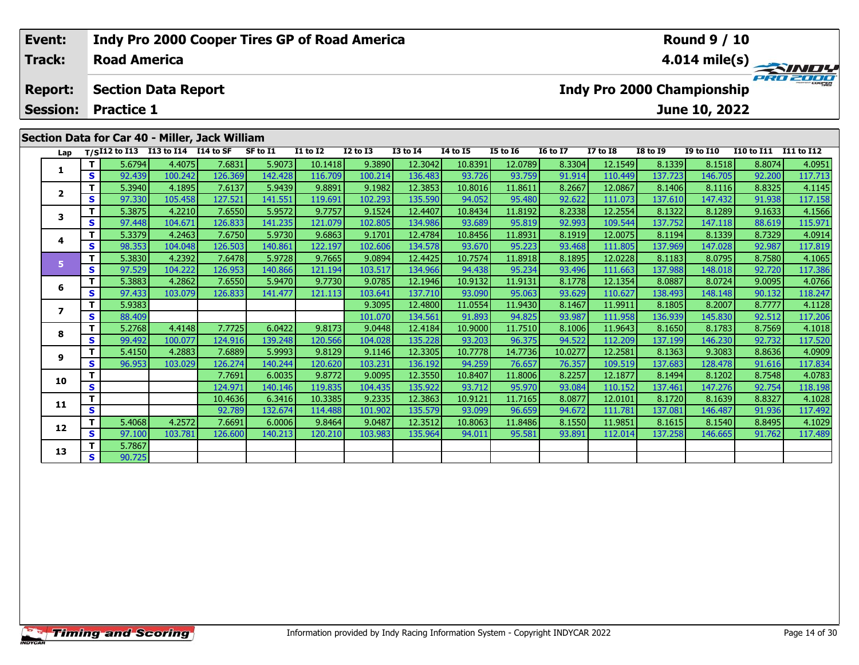| Event:                            |              |                     |                                                |         |          | Indy Pro 2000 Cooper Tires GP of Road America |                 |              |                 |                 |                 |                                   |                 | <b>Round 9 / 10</b> |                       |                         |
|-----------------------------------|--------------|---------------------|------------------------------------------------|---------|----------|-----------------------------------------------|-----------------|--------------|-----------------|-----------------|-----------------|-----------------------------------|-----------------|---------------------|-----------------------|-------------------------|
| Track:                            |              | <b>Road America</b> |                                                |         |          |                                               |                 |              |                 |                 |                 |                                   |                 |                     |                       | $4.014 \text{ mile(s)}$ |
| <b>Report:</b><br><b>Session:</b> |              | <b>Practice 1</b>   | <b>Section Data Report</b>                     |         |          |                                               |                 |              |                 |                 |                 | <b>Indy Pro 2000 Championship</b> |                 | June 10, 2022       |                       | PRO 2000                |
|                                   |              |                     |                                                |         |          |                                               |                 |              |                 |                 |                 |                                   |                 |                     |                       |                         |
|                                   |              |                     | Section Data for Car 40 - Miller, Jack William |         |          |                                               |                 |              |                 |                 |                 |                                   |                 |                     |                       |                         |
| Lap                               |              |                     | T/SI12 to I13 I13 to I14 I14 to SF             |         | SF to I1 | <b>I1 to I2</b>                               | <b>I2 to I3</b> | $I3$ to $I4$ | <b>I4 to I5</b> | <b>I5 to I6</b> | <b>16 to 17</b> | <b>I7 to I8</b>                   | <b>I8 to 19</b> | <b>I9 to I10</b>    | I10 to I11 I11 to I12 |                         |
|                                   |              | 5.6794              | 4.4075                                         | 7.6831  | 5.9073   | 10.1418                                       | 9.3890          | 12.3042      | 10.8391         | 12.0789         | 8.3304          | 12.1549                           | 8.1339          | 8.1518              | 8.8074                | 4.0951                  |
| 1                                 | $\mathbf{s}$ | 92.439              | 100.2421                                       | 126.369 | 142.428  | 116.709                                       | 100.214         | 136,483      | 93.726          | 93.759          | 91.914          | 110.449                           | 137.723         | 146.705             | 92.200                | 117.713                 |

|                          | Τ. | 5.6794 | 4.4075  | 7.6831  | 5.9073  | 10.1418 | 9.3890  | 12.3042 | 10.8391 | 12.0789 | 8.3304  | 12.1549 | 8.1339  | 8.1518  | 8.8074 | 4.0951  |
|--------------------------|----|--------|---------|---------|---------|---------|---------|---------|---------|---------|---------|---------|---------|---------|--------|---------|
|                          | S  | 92.439 | 100.242 | 126.369 | 142.428 | 116.709 | 100.214 | 136.483 | 93.726  | 93.759  | 91.914  | 110.449 | 137.723 | 146.705 | 92.200 | 117.713 |
| $\mathbf{2}$             |    | 5.3940 | 4.1895  | 7.6137  | 5.9439  | 9.8891  | 9.1982  | 12.3853 | 10.8016 | 11.8611 | 8.2667  | 12.0867 | 8.1406  | 8.1116  | 8.8325 | 4.1145  |
|                          | S  | 97.330 | 105.458 | 127.521 | 141.551 | 119.691 | 102.293 | 135.590 | 94.052  | 95.480  | 92.622  | 111.073 | 137.610 | 147.432 | 91.938 | 117.158 |
| 3                        |    | 5.3875 | 4.2210  | 7.6550  | 5.9572  | 9.7757  | 9.1524  | 12.4407 | 10.8434 | 11.8192 | 8.2338  | 12.2554 | 8.1322  | 8.1289  | 9.1633 | 4.1566  |
|                          | S. | 97.448 | 104.671 | 126.833 | 141.235 | 121.079 | 102.805 | 134.986 | 93.689  | 95.819  | 92.993  | 109.544 | 137.752 | 147.118 | 88.619 | 115.971 |
| 4                        | T. | 5.3379 | 4.2463  | 7.6750  | 5.9730  | 9.6863  | 9.1701  | 12.4784 | 10.8456 | 11.8931 | 8.1919  | 12.0075 | 8.1194  | 8.1339  | 8.7329 | 4.0914  |
|                          | S. | 98.353 | 104.048 | 126.503 | 140.861 | 122.197 | 102.606 | 134.578 | 93.670  | 95.223  | 93.468  | 111.805 | 137.969 | 147.028 | 92.987 | 117.819 |
| 5                        | т  | 5.3830 | 4.2392  | 7.6478  | 5.9728  | 9.7665  | 9.0894  | 12.4425 | 10.7574 | 11.8918 | 8.1895  | 12.0228 | 8.1183  | 8.0795  | 8.7580 | 4.1065  |
|                          | S. | 97.529 | 104.222 | 126.953 | 140.866 | 121.194 | 103.517 | 134.966 | 94.438  | 95.234  | 93.496  | 111.663 | 137.988 | 148.018 | 92.720 | 117.386 |
| 6                        | т  | 5.3883 | 4.2862  | 7.6550  | 5.9470  | 9.7730  | 9.0785  | 12.1946 | 10.9132 | 11.9131 | 8.1778  | 12.1354 | 8.0887  | 8.0724  | 9.0095 | 4.0766  |
|                          | S. | 97.433 | 103.079 | 126.833 | 141.477 | 121.113 | 103.641 | 137.710 | 93.090  | 95.063  | 93.629  | 110.627 | 138.493 | 148.148 | 90.132 | 118.247 |
| $\overline{\phantom{a}}$ | т  | 5.9383 |         |         |         |         | 9.3095  | 12.4800 | 11.0554 | 11.9430 | 8.1467  | 11.9911 | 8.1805  | 8.2007  | 8.7777 | 4.1128  |
|                          | S. | 88.409 |         |         |         |         | 101.070 | 134.561 | 91.893  | 94.825  | 93.987  | 111.958 | 136.939 | 145.830 | 92.512 | 117.206 |
| 8                        |    | 5.2768 | 4.4148  | 7.7725  | 6.0422  | 9.8173  | 9.0448  | 12.4184 | 10.9000 | 11.7510 | 8.1006  | 11.9643 | 8.1650  | 8.1783  | 8.7569 | 4.1018  |
|                          | S. | 99.492 | 100.077 | 124.916 | 139.248 | 120.566 | 104.028 | 135.228 | 93.203  | 96.375  | 94.522  | 112.209 | 137.199 | 146.230 | 92.732 | 117.520 |
| 9                        |    | 5.4150 | 4.2883  | 7.6889  | 5.9993  | 9.8129  | 9.1146  | 12.3305 | 10.7778 | 14.7736 | 10.0277 | 12.2581 | 8.1363  | 9.3083  | 8.8636 | 4.0909  |
|                          | S  | 96.953 | 103.029 | 126.274 | 140.244 | 120.620 | 103.231 | 136.192 | 94.259  | 76.657  | 76.357  | 109.519 | 137.683 | 128.478 | 91.616 | 117.834 |
| 10                       |    |        |         | 7.7691  | 6.0035  | 9.8772  | 9.0095  | 12.3550 | 10.8407 | 11.8006 | 8.2257  | 12.1877 | 8.1494  | 8.1202  | 8.7548 | 4.0783  |
|                          | S. |        |         | 124.971 | 140.146 | 119.835 | 104.435 | 135.922 | 93.712  | 95.970  | 93.084  | 110.152 | 137.461 | 147.276 | 92.754 | 118.198 |
| 11                       |    |        |         | 10.4636 | 6.3416  | 10.3385 | 9.2335  | 12.3863 | 10.9121 | 11.7165 | 8.0877  | 12.0101 | 8.1720  | 8.1639  | 8.8327 | 4.1028  |
|                          | S  |        |         | 92.789  | 132.674 | 114.488 | 101.902 | 135.579 | 93.099  | 96.659  | 94.672  | 111.781 | 137.081 | 146.487 | 91.936 | 117.492 |
| 12                       | т  | 5.4068 | 4.2572  | 7.6691  | 6.0006  | 9.8464  | 9.0487  | 12.3512 | 10.8063 | 11.8486 | 8.1550  | 11.9851 | 8.1615  | 8.1540  | 8.8495 | 4.1029  |
|                          | S. | 97.100 | 103.781 | 126.600 | 140.213 | 120.210 | 103.983 | 135.964 | 94.011  | 95.581  | 93.891  | 112.014 | 137.258 | 146.665 | 91.762 | 117.489 |
| 13                       |    | 5.7867 |         |         |         |         |         |         |         |         |         |         |         |         |        |         |
|                          | S. | 90.725 |         |         |         |         |         |         |         |         |         |         |         |         |        |         |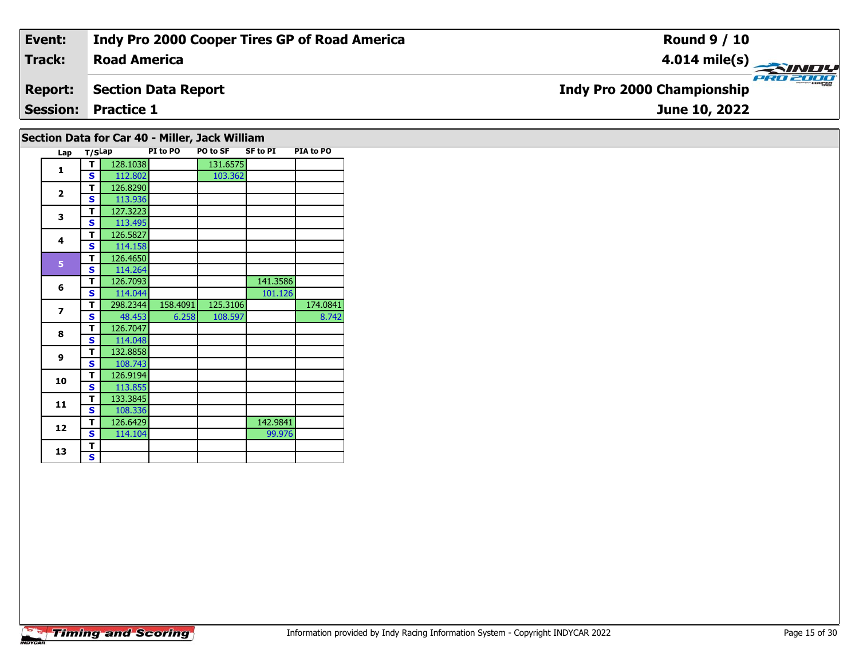| Event:         | Indy Pro 2000 Cooper Tires GP of Road America | <b>Round 9 / 10</b>                           |
|----------------|-----------------------------------------------|-----------------------------------------------|
| <b>Track:</b>  | <b>Road America</b>                           | 4.014 mile(s) $\rightarrow$                   |
| <b>Report:</b> | Section Data Report                           | PRO 2000<br><b>Indy Pro 2000 Championship</b> |
|                | <b>Session: Practice 1</b>                    | June 10, 2022                                 |
|                |                                               |                                               |

## **Section Data for Car 40 - Miller, Jack William**

|  | Lap                     | T/SLap |          | PI to PO | PO to SF | <b>SF to PI</b> | PIA to PO |
|--|-------------------------|--------|----------|----------|----------|-----------------|-----------|
|  | 1                       | T      | 128.1038 |          | 131.6575 |                 |           |
|  |                         | S      | 112.802  |          | 103.362  |                 |           |
|  | $\overline{2}$          | T      | 126.8290 |          |          |                 |           |
|  |                         | S      | 113.936  |          |          |                 |           |
|  | 3                       | T      | 127.3223 |          |          |                 |           |
|  |                         | S      | 113.495  |          |          |                 |           |
|  | 4                       | T      | 126.5827 |          |          |                 |           |
|  |                         | S      | 114.158  |          |          |                 |           |
|  | 5                       | T      | 126.4650 |          |          |                 |           |
|  |                         | S      | 114.264  |          |          |                 |           |
|  | 6                       | т      | 126.7093 |          |          | 141.3586        |           |
|  |                         | S      | 114.044  |          |          | 101.126         |           |
|  | $\overline{\mathbf{z}}$ | T      | 298.2344 | 158.4091 | 125.3106 |                 | 174.0841  |
|  |                         | S      | 48.453   | 6.258    | 108.597  |                 | 8.742     |
|  | 8                       | T      | 126.7047 |          |          |                 |           |
|  |                         | S      | 114.048  |          |          |                 |           |
|  | $\mathbf{9}$            | T      | 132.8858 |          |          |                 |           |
|  |                         | S      | 108.743  |          |          |                 |           |
|  | 10                      | T      | 126.9194 |          |          |                 |           |
|  |                         | S      | 113.855  |          |          |                 |           |
|  |                         | T      | 133.3845 |          |          |                 |           |
|  | 11<br>12                | S      | 108.336  |          |          |                 |           |
|  |                         | T      | 126.6429 |          |          | 142.9841        |           |
|  |                         | S      | 114.104  |          |          | 99.976          |           |
|  | 13                      | T      |          |          |          |                 |           |
|  |                         | S      |          |          |          |                 |           |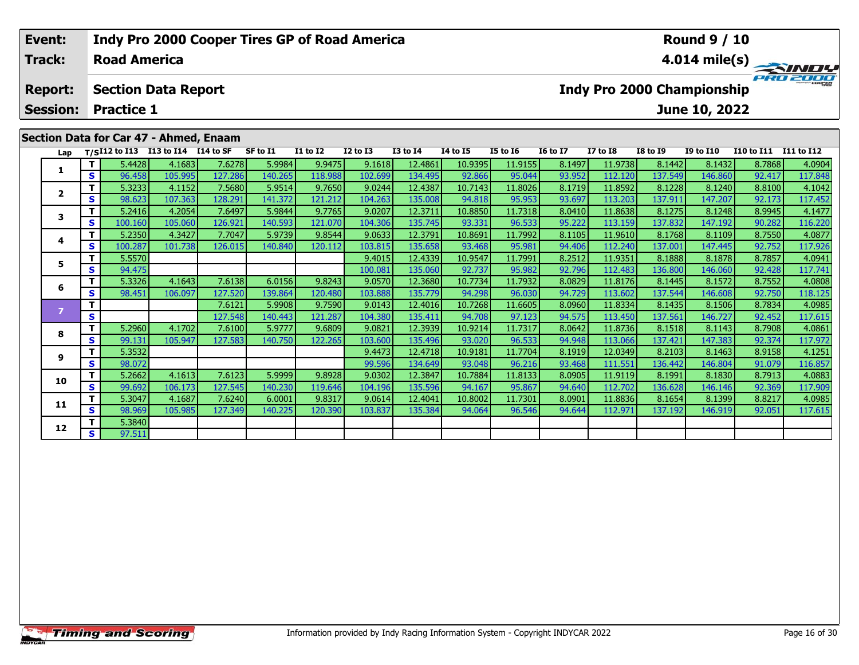| Event:          |                                    |                     | <b>Indy Pro 2000 Cooper Tires GP of Road America</b> |         |          |                 |              |                 |          |                 |                 | <b>Round 9 / 10</b> |                            |                  |                       |                         |
|-----------------|------------------------------------|---------------------|------------------------------------------------------|---------|----------|-----------------|--------------|-----------------|----------|-----------------|-----------------|---------------------|----------------------------|------------------|-----------------------|-------------------------|
| Track:          |                                    | <b>Road America</b> |                                                      |         |          |                 |              |                 |          |                 |                 |                     |                            |                  |                       | $4.014 \text{ mile(s)}$ |
| <b>Report:</b>  |                                    |                     | <b>Section Data Report</b>                           |         |          |                 |              |                 |          |                 |                 |                     | Indy Pro 2000 Championship |                  |                       | PRO 2000                |
| <b>Session:</b> | <b>Practice 1</b><br>June 10, 2022 |                     |                                                      |         |          |                 |              |                 |          |                 |                 |                     |                            |                  |                       |                         |
|                 |                                    |                     | Section Data for Car 47 - Ahmed, Enaam               |         |          |                 |              |                 |          |                 |                 |                     |                            |                  |                       |                         |
| Lap             |                                    |                     | T/SI12 to I13 I13 to I14 I14 to SF                   |         | SF to I1 | <b>I1 to I2</b> | $I2$ to $I3$ | <b>I3 to I4</b> | 14 to 15 | <b>I5 to 16</b> | <b>I6 to I7</b> | <b>I7 to I8</b>     | <b>I8 to I9</b>            | <b>I9 to I10</b> | I10 to I11 I11 to I12 |                         |
|                 |                                    | 5.4428              | 4.1683                                               | 7.6278  | 5.9984   | 9.9475          | 9.1618       | 12.4861         | 10.9395  | 11.9155         | 8.1497          | 11.9738             | 8.1442                     | 8.1432           | 8.7868                | 4.0904                  |
|                 | S.                                 | 96.458              | 105.995                                              | 127.286 | 140.265  | 118.988         | 102.699      | 134.495         | 92.866   | 95.044          | 93.952          | 112.120             | 137.549                    | 146.860          | 92.417                | 117.848                 |

| Lap                     |    |         | T/SI12 to I13 I13 to I14 $\overline{114}$ to SF |         | SF to I1 | <b>I1 to I2</b> | <b>I2 to I3</b> | <b>I3 to I4</b> | <b>I4 to I5</b> | <b>I5 to 16</b> | <b>16 to 17</b> | <b>I7 to I8</b> | <b>I8 to I9</b> | <b>I9 to I10</b> | I10 to I11 | I11 to I12 |
|-------------------------|----|---------|-------------------------------------------------|---------|----------|-----------------|-----------------|-----------------|-----------------|-----------------|-----------------|-----------------|-----------------|------------------|------------|------------|
|                         |    | 5.4428  | 4.1683                                          | 7.6278  | 5.9984   | 9.9475          | 9.1618          | 12.4861         | 10.9395         | 11.9155         | 8.1497          | 11.9738         | 8.1442          | 8.1432           | 8.7868     | 4.0904     |
|                         | S  | 96.458  | 105.995                                         | 127.286 | 140.265  | 118.988         | 102.699         | 134.495         | 92.866          | 95.044          | 93.952          | 112.120         | 137.549         | 146.860          | 92.417     | 117.848    |
| $\overline{\mathbf{2}}$ |    | 5.3233  | 4.1152                                          | 7.5680  | 5.9514   | 9.7650          | 9.0244          | 12.4387         | 10.7143         | 11.8026         | 8.1719          | 11.8592         | 8.1228          | 8.1240           | 8.8100     | 4.1042     |
|                         | S  | 98.623  | 107.363                                         | 128.291 | 141.372  | 121.212         | 104.263         | 135.008         | 94.818          | 95.953          | 93.697          | 113.203         | 137.911         | 147.207          | 92.173     | 117.452    |
| 3                       |    | 5.2416  | 4.2054                                          | 7.6497  | 5.9844   | 9.7765          | 9.0207          | 12.3711         | 10.8850         | 11.7318         | 8.0410          | 11.8638         | 8.1275          | 8.1248           | 8.9945     | 4.1477     |
|                         | S  | 100.160 | 105.060                                         | 126.921 | 140.593  | 121.070         | 104.306         | 135.745         | 93.331          | 96.533          | 95.222          | 113.159         | 137.832         | 147.192          | 90.282     | 116.220    |
| 4                       |    | 5.2350  | 4.3427                                          | 7.7047  | 5.9739   | 9.8544          | 9.0633          | 12.3791         | 10.8691         | 11.7992         | 8.1105          | 11.9610         | 8.1768          | 8.1109           | 8.7550     | 4.0877     |
|                         | S  | 100.287 | 101.738                                         | 126.015 | 140.840  | 120.112         | 103.815         | 135.658         | 93.468          | 95.981          | 94.406          | 112.240         | 137.001         | 147.445          | 92.752     | 117.926    |
| 5                       |    | 5.5570  |                                                 |         |          |                 | 9.4015          | 12.4339         | 10.9547         | 11.7991         | 8.2512          | 11.9351         | 8.1888          | 8.1878           | 8.7857     | 4.0941     |
|                         | S  | 94.475  |                                                 |         |          |                 | 100.081         | 135.060         | 92.737          | 95.982          | 92.796          | 112.483         | 136.800         | 146.060          | 92.428     | 117.741    |
| 6                       |    | 5.3326  | 4.1643                                          | 7.6138  | 6.0156   | 9.8243          | 9.0570          | 12.3680         | 10.7734         | 11.7932         | 8.0829          | 11.8176         | 8.1445          | 8.1572           | 8.7552     | 4.0808     |
|                         | S  | 98.451  | 106.097                                         | 127.520 | 139.864  | 120.480         | 103.888         | 135.779         | 94.298          | 96.030          | 94.729          | 113.602         | 137.544         | 146.608          | 92.750     | 118.125    |
| $\overline{7}$          |    |         |                                                 | 7.6121  | 5.9908   | 9.7590          | 9.0143          | 12.4016         | 10.7268         | 11.6605         | 8.0960          | 11.8334         | 8.1435          | 8.1506           | 8.7834     | 4.0985     |
|                         | S  |         |                                                 | 127.548 | 140.443  | 121.287         | 104.380         | 135.411         | 94.708          | 97.123          | 94.575          | 113.450         | 137.561         | 146.727          | 92.452     | 117.615    |
| 8                       |    | 5.2960  | 4.1702                                          | 7.6100  | 5.9777   | 9.6809          | 9.0821          | 12.3939         | 10.9214         | 11.7317         | 8.0642          | 11.8736         | 8.1518          | 8.1143           | 8.7908     | 4.0861     |
|                         | S  | 99.131  | 105.947                                         | 127.583 | 140.750  | 122.265         | 103.600         | 135.496         | 93.020          | 96.533          | 94.948          | 113.066         | 137.421         | 147.383          | 92.374     | 117.972    |
| 9                       |    | 5.3532  |                                                 |         |          |                 | 9.4473          | 12.4718         | 10.9181         | 11.7704         | 8.1919          | 12.0349         | 8.2103          | 8.1463           | 8.9158     | 4.1251     |
|                         | S. | 98.072  |                                                 |         |          |                 | 99.596          | 134.649         | 93.048          | 96.216          | 93.468          | 111.551         | 136.442         | 146.804          | 91.079     | 116.857    |
| 10                      |    | 5.2662  | 4.1613                                          | 7.6123  | 5.9999   | 9.8928          | 9.0302          | 12.3847         | 10.7884         | 11.8133         | 8.0905          | 11.9119         | 8.1991          | 8.1830           | 8.7913     | 4.0883     |
|                         | S  | 99.692  | 106.173                                         | 127.545 | 140.230  | 119.646         | 104.196         | 135.596         | 94.167          | 95.867          | 94.640          | 112.702         | 136.628         | 146.146          | 92.369     | 117.909    |
| 11                      |    | 5.3047  | 4.1687                                          | 7.6240  | 6.0001   | 9.8317          | 9.0614          | 12.4041         | 10.8002         | 11.7301         | 8.0901          | 11.8836         | 8.1654          | 8.1399           | 8.8217     | 4.0985     |
|                         | s  | 98.969  | 105.985                                         | 127.349 | 140.225  | 120.390         | 103.837         | 135.384         | 94.064          | 96.546          | 94.644          | 112.971         | 137.192         | 146.919          | 92.051     | 117.615    |
| 12                      |    | 5.3840  |                                                 |         |          |                 |                 |                 |                 |                 |                 |                 |                 |                  |            |            |
|                         | S. | 97.511  |                                                 |         |          |                 |                 |                 |                 |                 |                 |                 |                 |                  |            |            |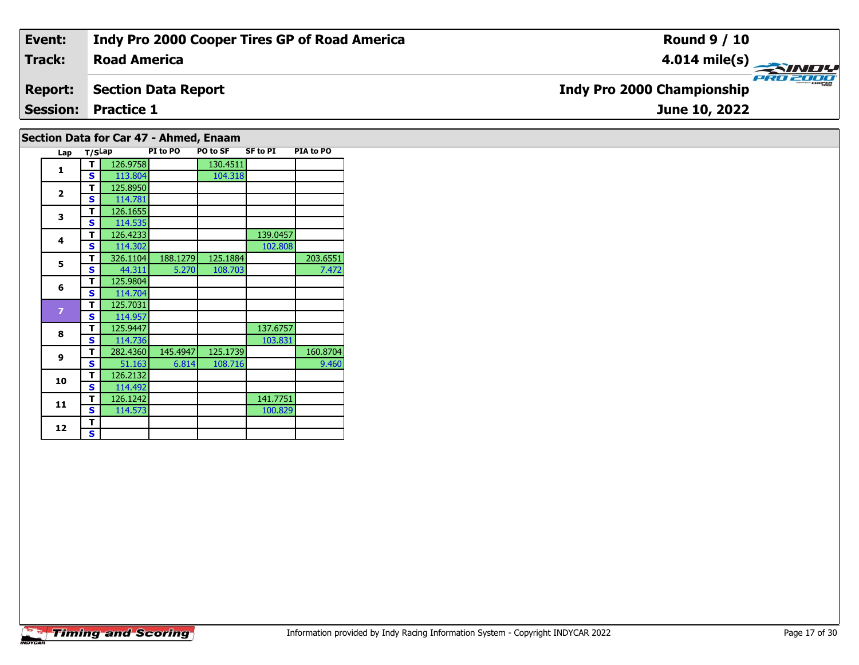| Event:         | Indy Pro 2000 Cooper Tires GP of Road America | <b>Round 9 / 10</b>                                 |
|----------------|-----------------------------------------------|-----------------------------------------------------|
| Track:         | <b>Road America</b>                           | $\frac{4.014 \text{ mile(s)}}{4.014 \text{ miles}}$ |
| <b>Report:</b> | Section Data Report                           | <b>Indy Pro 2000 Championship</b>                   |
|                | <b>Session: Practice 1</b>                    | June 10, 2022                                       |
|                |                                               |                                                     |

# **Section Data for Car 47 - Ahmed, Enaam**

|  | Lap            | T/SLap |          | PI to PO | PO to SF | <b>SF to PI</b> | PIA to PO |
|--|----------------|--------|----------|----------|----------|-----------------|-----------|
|  | 1              | т      | 126.9758 |          | 130.4511 |                 |           |
|  |                | S      | 113.804  |          | 104.318  |                 |           |
|  | $\overline{2}$ | т      | 125.8950 |          |          |                 |           |
|  |                | S      | 114.781  |          |          |                 |           |
|  | 3              | т      | 126.1655 |          |          |                 |           |
|  |                | S      | 114.535  |          |          |                 |           |
|  | 4              | т      | 126.4233 |          |          | 139.0457        |           |
|  |                | S      | 114.302  |          |          | 102.808         |           |
|  | 5              | т      | 326.1104 | 188.1279 | 125.1884 |                 | 203.6551  |
|  |                | S      | 44.311   | 5.270    | 108.703  |                 | 7.472     |
|  | 6              | т      | 125.9804 |          |          |                 |           |
|  |                | Ś      | 114.704  |          |          |                 |           |
|  | $\overline{z}$ | т      | 125.7031 |          |          |                 |           |
|  |                | Ś      | 114.957  |          |          |                 |           |
|  | 8              | т      | 125.9447 |          |          | 137.6757        |           |
|  |                | S      | 114.736  |          |          | 103.831         |           |
|  | 9              | т      | 282.4360 | 145.4947 | 125.1739 |                 | 160.8704  |
|  |                | S      | 51.163   | 6.814    | 108.716  |                 | 9.460     |
|  | 10             | т      | 126.2132 |          |          |                 |           |
|  |                | S      | 114.492  |          |          |                 |           |
|  | 11             | т      | 126.1242 |          |          | 141.7751        |           |
|  |                | S      | 114.573  |          |          | 100.829         |           |
|  | 12             | т      |          |          |          |                 |           |
|  |                | S      |          |          |          |                 |           |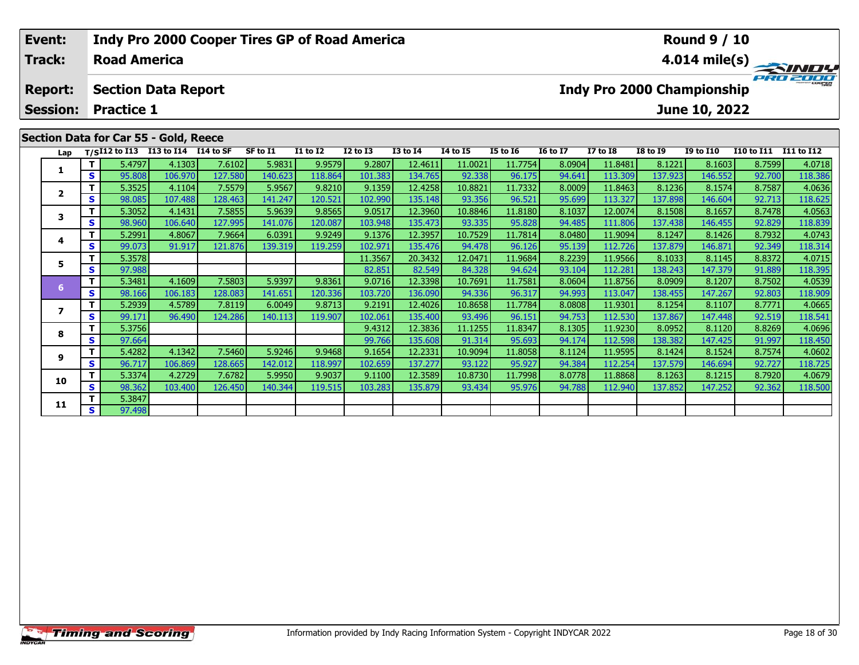| Event:          |    |                     |                                       | Indy Pro 2000 Cooper Tires GP of Road America |          |                 |              |                 | <b>Round 9 / 10</b> |                 |                 |                                   |                 |                  |            |            |
|-----------------|----|---------------------|---------------------------------------|-----------------------------------------------|----------|-----------------|--------------|-----------------|---------------------|-----------------|-----------------|-----------------------------------|-----------------|------------------|------------|------------|
| Track:          |    | <b>Road America</b> |                                       |                                               |          |                 |              |                 | 4.014 mile(s)       |                 |                 |                                   |                 |                  |            |            |
| <b>Report:</b>  |    |                     | <b>Section Data Report</b>            |                                               |          |                 |              |                 |                     |                 |                 | <b>Indy Pro 2000 Championship</b> |                 |                  |            | PRO 2000   |
| <b>Session:</b> |    | <b>Practice 1</b>   |                                       |                                               |          |                 |              |                 |                     |                 |                 |                                   |                 | June 10, 2022    |            |            |
|                 |    |                     | Section Data for Car 55 - Gold, Reece |                                               |          |                 |              |                 |                     |                 |                 |                                   |                 |                  |            |            |
| Lap             |    | T/SI12 to I13       | I13 to I14 I14 to SF                  |                                               | SF to I1 | <b>I1 to I2</b> | $I2$ to $I3$ | <b>I3 to I4</b> | <b>I4 to I5</b>     | <b>I5 to 16</b> | <b>16 to 17</b> | $I7$ to $I8$                      | <b>I8 to I9</b> | <b>I9 to I10</b> | I10 to I11 | I11 to I12 |
|                 |    | 5.4797              | 4.1303                                | 7.6102                                        | 5.9831   | 9.9579          | 9.2807       | 12.4611         | 11.0021             | 11.7754         | 8.0904          | 11.8481                           | 8.1221          | 8.1603           | 8.7599     | 4.0718     |
| л.              | S. | 95.808              | 106.970                               | 127.580                                       | 140.623  | 118.864         | 101.383      | 134.765         | 92.338              | 96.175          | 94.641          | 113.309                           | 137.923         | 146.552          | 92.700     | 118.386    |
| $\overline{2}$  |    | 5.3525              | 4.1104                                | 7.5579                                        | 5.9567   | 9.8210          | 9.1359       | 12.4258         | 10.8821             | 11.7332         | 8.0009          | 11.8463                           | 8.1236          | 8.1574           | 8.7587     | 4.0636     |
|                 | S. | 98.085              | 107.488                               | 128.463                                       | 141.247  | 120.521         | 102.990      | 135.148         | 93.356              | 96.521          | 95.699          | 113.327                           | 137.898         | 146.604          | 92.713     | 118.625    |

| Lap       |                | $T/SI12$ to I13 | I13 to I14 I14 to SF |         | SF to I1 | <b>I1 to I2</b> | <b>I2 to I3</b> | <b>I3 to I4</b> | 14 to 15 | <b>I5 to 16</b> | <b>16 to 17</b> | <b>I7 to I8</b> | <b>I8 to 19</b> | <b>I9 to I10</b> | <b>I10 to I11</b> | <b>I11 to I12</b> |
|-----------|----------------|-----------------|----------------------|---------|----------|-----------------|-----------------|-----------------|----------|-----------------|-----------------|-----------------|-----------------|------------------|-------------------|-------------------|
|           |                | 5.4797          | 4.1303               | 7.6102  | 5.9831   | 9.9579          | 9.2807          | 12.4611         | 11.0021  | 11.7754         | 8.0904          | 11.8481         | 8.1221          | 8.1603           | 8.7599            | 4.0718            |
|           | S.             | 95.808          | 106.970              | 127.580 | 140.623  | 118.864         | 101.383         | 134.765         | 92.338   | 96.175          | 94.641          | 113.309         | 137.923         | 146.552          | 92.700            | 118.386           |
|           | Τ.             | 5.3525          | 4.1104               | 7.5579  | 5.9567   | 9.8210          | 9.1359          | 12.4258         | 10.8821  | 11.7332         | 8.0009          | 11.8463         | 8.1236          | 8.1574           | 8.7587            | 4.0636            |
|           | S.             | 98.085          | 107.488              | 128.463 | 141.247  | 120.521         | 102.990         | 135.148         | 93.356   | 96.521          | 95.699          | 113.327         | 137.898         | 146.604          | 92.713            | 118.625           |
|           | T.             | 5.3052          | 4.1431               | 7.5855  | 5.9639   | 9.8565          | 9.0517          | 12.3960         | 10.8846  | 11.8180         | 8.1037          | 12.0074         | 8.1508          | 8.1657           | 8.7478            | 4.0563            |
|           | S.             | 98.960          | 106.640              | 127.995 | 141.076  | 120.087         | 103.948         | 135.473         | 93.335   | 95.828          | 94.485          | 111.806         | 137.438         | 146.455          | 92.829            | 118.839           |
| 4         | т              | 5.2991          | 4.8067               | 7.9664  | 6.0391   | 9.9249          | 9.1376          | 12.3957         | 10.7529  | 11.7814         | 8.0480          | 11.9094         | 8.1247          | 8.1426           | 8.7932            | 4.0743            |
|           | S.             | 99.073          | 91.917               | 121.876 | 139.319  | 119.259         | 102.971         | 135.476         | 94.478   | 96.126          | 95.139          | 112.726         | 137.879         | 146.871          | 92.349            | 118.314           |
| 5.        | T.             | 5.3578          |                      |         |          |                 | 11.3567         | 20.3432         | 12.0471  | 11.9684         | 8.2239          | 11.9566         | 8.1033          | 8.1145           | 8.8372            | 4.0715            |
|           | S.             | 97.988          |                      |         |          |                 | 82.851          | 82.549          | 84.328   | 94.624          | 93.104          | 112.281         | 138.243         | 147.379          | 91.889            | 118.395           |
| <b>67</b> | т              | 5.3481          | 4.1609               | 7.5803  | 5.9397   | 9.8361          | 9.0716          | 12.3398         | 10.7691  | 11.7581         | 8.0604          | 11.8756         | 8.0909          | 8.1207           | 8.7502            | 4.0539            |
|           | S              | 98.166          | 106.183              | 128.083 | 141.651  | 120.336         | 103.720         | 136.090         | 94.336   | 96.317          | 94.993          | 113.047         | 138.455         | 147.267          | 92.803            | 118.909           |
|           | т              | 5.2939          | 4.5789               | 7.8119  | 6.0049   | 9.8713          | 9.2191          | 12.4026         | 10.8658  | 11.7784         | 8.0808          | 11.9301         | 8.1254          | 8.1107           | 8.7771            | 4.0665            |
|           | S.             | 99.171          | 96.490               | 124.286 | 140.113  | 119.907         | 102.061         | 135.400         | 93.496   | 96.151          | 94.753          | 112.530         | 137.867         | 147.448          | 92.519            | 118.541           |
| 8         | т              | 5.3756          |                      |         |          |                 | 9.4312          | 12.3836         | 11.1255  | 11.8347         | 8.1305          | 11.9230         | 8.0952          | 8.1120           | 8.8269            | 4.0696            |
|           | S.             | 97.664          |                      |         |          |                 | 99.766          | 135.608         | 91.314   | 95.693          | 94.174          | 112.598         | 138.382         | 147.425          | 91.997            | 118.450           |
| 9         | т              | 5.4282          | 4.1342               | 7.5460  | 5.9246   | 9.9468          | 9.1654          | 12.2331         | 10.9094  | 11.8058         | 8.1124          | 11.9595         | 8.1424          | 8.1524           | 8.7574            | 4.0602            |
|           | S.             | 96.717          | 106.869              | 128.665 | 142.012  | 118.997         | 102.659         | 137.277         | 93.122   | 95.927          | 94.384          | 112.254         | 137.579         | 146.694          | 92.727            | 118.725           |
| 10        | Τ.             | 5.3374          | 4.2729               | 7.6782  | 5.9950   | 9.9037          | 9.1100          | 12.3589         | 10.8730  | 11.7998         | 8.0778          | 11.8868         | 8.1263          | 8.1215           | 8.7920            | 4.0679            |
|           | S <sub>1</sub> | 98.362          | 103.400              | 126.450 | 140.344  | 119.515         | 103.283         | 135.879         | 93.434   | 95.976          | 94.788          | 112.940         | 137.852         | 147.252          | 92.362            | 118.500           |
| 11        | т              | 5.3847          |                      |         |          |                 |                 |                 |          |                 |                 |                 |                 |                  |                   |                   |
|           | S.             | 97.498          |                      |         |          |                 |                 |                 |          |                 |                 |                 |                 |                  |                   |                   |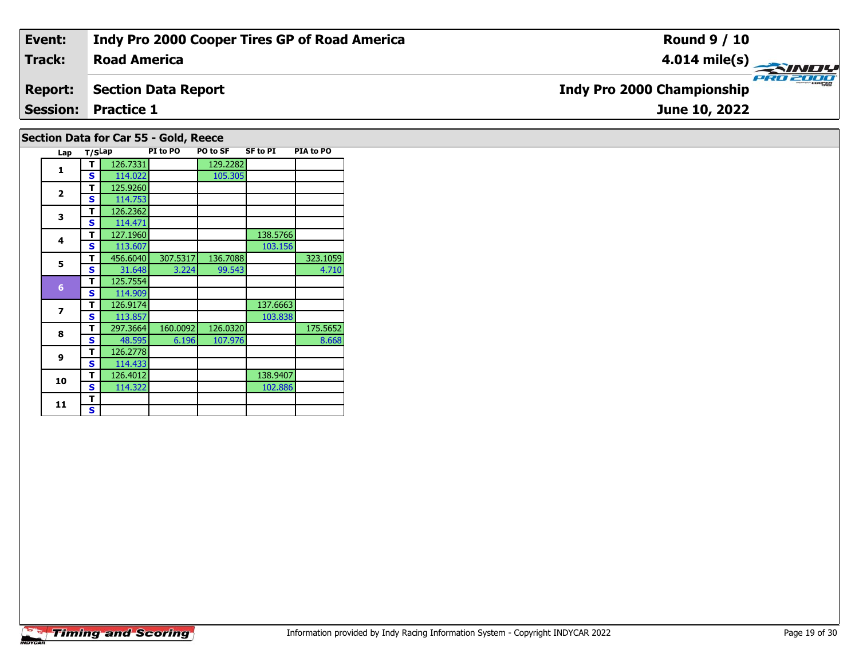| Event:         | <b>Indy Pro 2000 Cooper Tires GP of Road America</b> | <b>Round 9 / 10</b>                                  |
|----------------|------------------------------------------------------|------------------------------------------------------|
| <b>Track:</b>  | <b>Road America</b>                                  |                                                      |
| <b>Report:</b> | <b>Section Data Report</b>                           | <b>PRO 2000</b><br><b>Indy Pro 2000 Championship</b> |
|                | <b>Session: Practice 1</b>                           | June 10, 2022                                        |
|                | Section Data for Car 55 - Gold, Reece                |                                                      |

| Lap                     | T/SLap |          | PI to PO | PO to SF | <b>SF to PI</b> | PIA to PO |
|-------------------------|--------|----------|----------|----------|-----------------|-----------|
| 1                       | т      | 126.7331 |          | 129.2282 |                 |           |
|                         | S      | 114.022  |          | 105.305  |                 |           |
| $\overline{2}$          | т      | 125.9260 |          |          |                 |           |
|                         | S      | 114.753  |          |          |                 |           |
| 3                       | т      | 126.2362 |          |          |                 |           |
|                         | S      | 114.471  |          |          |                 |           |
| $\overline{\mathbf{4}}$ | т      | 127.1960 |          |          | 138.5766        |           |
|                         | S      | 113.607  |          |          | 103.156         |           |
| 5                       | т      | 456.6040 | 307.5317 | 136.7088 |                 | 323.1059  |
|                         | S      | 31.648   | 3.224    | 99.543   |                 | 4.710     |
| $6\phantom{1}6$         | т      | 125.7554 |          |          |                 |           |
|                         | s      | 114.909  |          |          |                 |           |
| 7                       | т      | 126.9174 |          |          | 137.6663        |           |
|                         | S      | 113.857  |          |          | 103.838         |           |
| 8                       | т      | 297.3664 | 160.0092 | 126.0320 |                 | 175.5652  |
|                         | s      | 48.595   | 6.196    | 107.976  |                 | 8.668     |
| 9                       | т      | 126.2778 |          |          |                 |           |
|                         | S      | 114.433  |          |          |                 |           |
| 10                      | т      | 126.4012 |          |          | 138.9407        |           |
|                         | S      | 114.322  |          |          | 102.886         |           |
| 11                      | т      |          |          |          |                 |           |
|                         | S      |          |          |          |                 |           |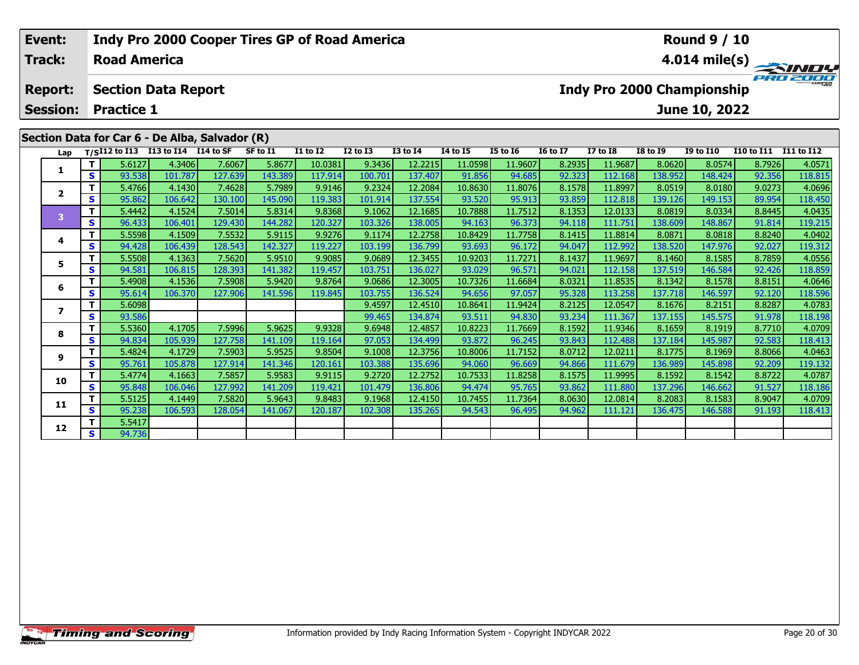| Event:                                       |          |                     |                                              | Indy Pro 2000 Cooper Tires GP of Road America  |          |                 |                 |              | <b>Round 9 / 10</b>                                                   |                 |                 |                 |                 |                            |                       |                         |
|----------------------------------------------|----------|---------------------|----------------------------------------------|------------------------------------------------|----------|-----------------|-----------------|--------------|-----------------------------------------------------------------------|-----------------|-----------------|-----------------|-----------------|----------------------------|-----------------------|-------------------------|
| Track:                                       |          | <b>Road America</b> |                                              |                                                |          |                 |                 |              |                                                                       |                 |                 |                 |                 |                            |                       | $4.014 \text{ mile(s)}$ |
| <b>Section Data Report</b><br><b>Report:</b> |          |                     |                                              |                                                |          |                 |                 |              |                                                                       |                 |                 |                 |                 | Indy Pro 2000 Championship |                       | PRO 2000                |
| <b>Session:</b><br><b>Practice 1</b>         |          |                     |                                              |                                                |          |                 |                 |              |                                                                       |                 |                 | June 10, 2022   |                 |                            |                       |                         |
|                                              |          |                     |                                              | Section Data for Car 6 - De Alba, Salvador (R) |          |                 |                 |              |                                                                       |                 |                 |                 |                 |                            |                       |                         |
| Lap                                          |          |                     | $T/SI12$ to $I13$ $I13$ to $I14$ $I14$ to SF |                                                | SF to I1 | <b>I1 to I2</b> | <b>I2 to I3</b> | $I3$ to $I4$ | <b>I4 to I5</b>                                                       | <b>I5 to 16</b> | <b>16 to 17</b> | <b>I7 to I8</b> | <b>I8 to 19</b> | <b>I9 to I10</b>           | I10 to I11 I11 to I12 |                         |
|                                              |          | 5.6127              | 4.3406                                       | 7.6067                                         | 5.8677   | 10.0381         | 9.3436          | 12.2215      | 11.0598                                                               | 11.9607         | 8.2935          | 11.9687         | 8.0620          | 8.0574                     | 8.7926                | 4.0571                  |
|                                              | <b>S</b> | 93.538              | 101.787                                      | 127.639                                        | 143.389  | 117.914         | 100.701         | 137.407      | 91.856                                                                | 94.685          | 92.323          | 112.168         | 138.952         | 148.424                    | 92.356                | 118.815                 |
|                                              |          | 5.4766              | 4.1430                                       | 7.4628                                         | 5.7989   | 9.9146          | 9.2324          | 12.2084      | 8.1578<br>10.8630<br>11.8076<br>11.8997<br>8.0519<br>8.0180<br>9.0273 |                 |                 |                 |                 | 4.0696                     |                       |                         |
| $\overline{2}$                               |          | 95.862              | 106.642                                      | 130.100                                        | 145.090  | 119.383         | 101.914         | 137.554      | 93.520                                                                | 95.913          | 93.859          | 112.818         | 139.126         | 149.153                    | 89.954                | 118.450                 |

3 T | 5.4442 4.1524 7.5014 5.8314 9.8368 9.1062 12.1685 10.7888 11.7512 8.1353 12.0133 8.0819 8.0334 8.8445 4.0435<br>S 96.433 106.401 129.430 144.282 120.327 103.326 138.005 94.163 96.373 94.118 111.751 138.609 148.867 91.81

**<sup>T</sup>** 5.5598 4.1509 7.5532 5.9115 9.9276 9.1174 12.2758 10.8429 11.7758 8.1415 11.8814 8.0871 8.0818 8.8240 4.0402 **<sup>S</sup>** 94.428 106.439 128.543 142.327 119.227 103.199 136.799 93.693 96.172 94.047 112.992 138.520 147.976 92.027 119.312

5 | T | 5.5508| 4.1363| 7.5620| 5.9510| 9.9085| 9.0689| 12.3455| 10.9203| 11.7271| 8.1437| 11.9697| 8.1460| 8.1585| 8.7859| 4.0556<br>| S | 94.581 106.815 128.393| 141.382 119.457| 103.751| 136.027| 93.029| 96.571| 94.021| 11

6 | T | 5.4908| 4.1536| 7.5908| 5.9420| 9.8764| 9.0686| 12.3005| 10.7326| 11.6684| 8.0321| 11.8535| 8.1342| 8.1578| 8.8151| 4.0646<br>| S | 95.614| 106.370| 127.906| 141.596| 119.845| 103.755| 136.524| 94.656| 97.057| 95.328|

**<sup>T</sup>** 5.6098 9.4597 12.4510 10.8641 11.9424 8.2125 12.0547 8.1676 8.2151 8.8287 4.0783 **<sup>S</sup>** 93.586 99.465 134.874 93.511 94.830 93.234 111.367 137.155 145.575 91.978 118.198

**<sup>T</sup>** 5.5360 4.1705 7.5996 5.9625 9.9328 9.6948 12.4857 10.8223 11.7669 8.1592 11.9346 8.1659 8.1919 8.7710 4.0709 **<sup>S</sup>** 94.834 105.939 127.758 141.109 119.164 97.053 134.499 93.872 96.245 93.843 112.488 137.184 145.987 92.583 118.413

1.17152 8.1775 12.0211 8.1775 8.1969 8.8066 8.8066 1.1.7152 8.0712 12.0211 8.1775 8.1969 8.8066 9.178 1.0463 4<br>S 1 95.761 105.878 127.914 141.346 120.161 103.388 135.696 94.060 96.669 94.866 111.679 136.989 145.898 92.209

0 | T | 5.4774 | 4.1663 | 7.5857 | 5.9583 | 9.9115 | 9.2720 | 12.2752 | 10.7533 | 11.8258 | 8.1575 | 11.9995 | 8.1592 | 8.1592 | 8.1542 | 8.8722 | 4.0787<br>| S | 95.848 | 106.046 | 127.992 | 141.209 | 119.421 | 101.479 | 136

**<sup>T</sup>** 5.5125 4.1449 7.5820 5.9643 9.8483 9.1968 12.4150 10.7455 11.7364 8.0630 12.0814 8.2083 8.1583 8.9047 4.0709 **<sup>S</sup>** 95.238 106.593 128.054 141.067 120.187 102.308 135.265 94.543 96.495 94.962 111.121 136.475 146.588 91.193 118.413

**Timing and Scoring** 

**3**

**4**

**5**

**6**

**7**

**8**

**9**

**10**

**11**

**12**

**2 S** 5.5417

118.450

119.312

118.198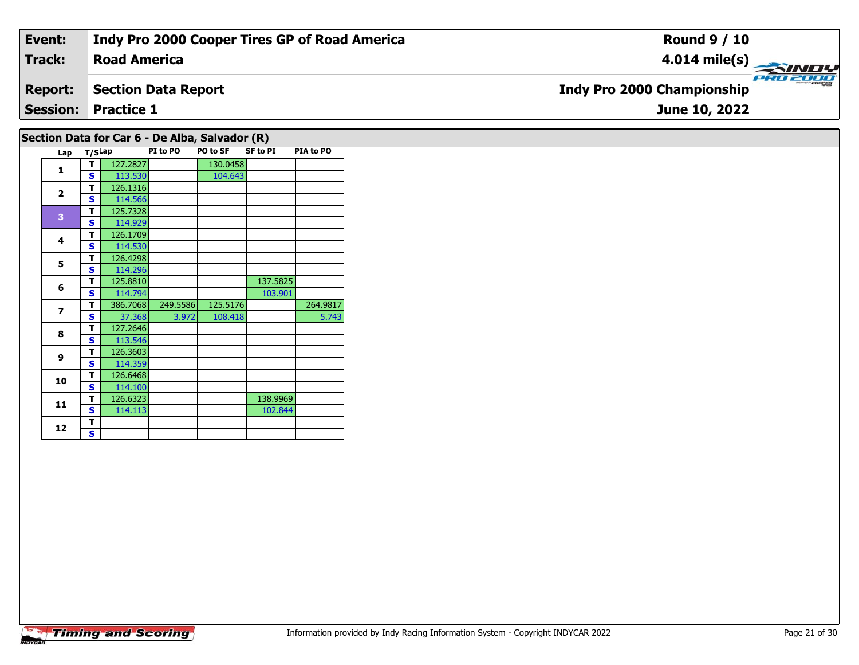| Event:         | <b>Indy Pro 2000 Cooper Tires GP of Road America</b> | <b>Round 9 / 10</b>                           |
|----------------|------------------------------------------------------|-----------------------------------------------|
| Track:         | <b>Road America</b>                                  | $4.014 \text{ mile(s)}$                       |
| <b>Report:</b> | Section Data Report                                  | PRO 2000<br><b>Indy Pro 2000 Championship</b> |
|                | <b>Session: Practice 1</b>                           | June 10, 2022                                 |
|                |                                                      |                                               |

## **Section Data for Car 6 - De Alba, Salvador (R)**

| Lap                      | T/SLap |          | PI to PO | PO to SF | <b>SF to PI</b> | PIA to PO |
|--------------------------|--------|----------|----------|----------|-----------------|-----------|
| $\mathbf{1}$             | т      | 127.2827 |          | 130.0458 |                 |           |
|                          | S      | 113.530  |          | 104.643  |                 |           |
| $\overline{2}$           | т      | 126.1316 |          |          |                 |           |
|                          | S      | 114.566  |          |          |                 |           |
| 3                        | T      | 125.7328 |          |          |                 |           |
|                          | S      | 114.929  |          |          |                 |           |
| 4                        | т      | 126.1709 |          |          |                 |           |
|                          | S      | 114.530  |          |          |                 |           |
| 5                        | т      | 126.4298 |          |          |                 |           |
|                          | S      | 114.296  |          |          |                 |           |
| 6                        | T      | 125.8810 |          |          | 137.5825        |           |
|                          | S      | 114.794  |          |          | 103.901         |           |
| $\overline{\phantom{a}}$ | т      | 386.7068 | 249.5586 | 125.5176 |                 | 264.9817  |
|                          | S      | 37.368   | 3.972    | 108.418  |                 | 5.743     |
| 8                        | т      | 127.2646 |          |          |                 |           |
|                          | S      | 113.546  |          |          |                 |           |
| 9                        | т      | 126.3603 |          |          |                 |           |
|                          | S      | 114.359  |          |          |                 |           |
| 10                       | т      | 126.6468 |          |          |                 |           |
|                          | S      | 114.100  |          |          |                 |           |
| 11                       | т      | 126.6323 |          |          | 138.9969        |           |
|                          | S      | 114.113  |          |          | 102.844         |           |
| 12                       | т      |          |          |          |                 |           |
|                          | S      |          |          |          |                 |           |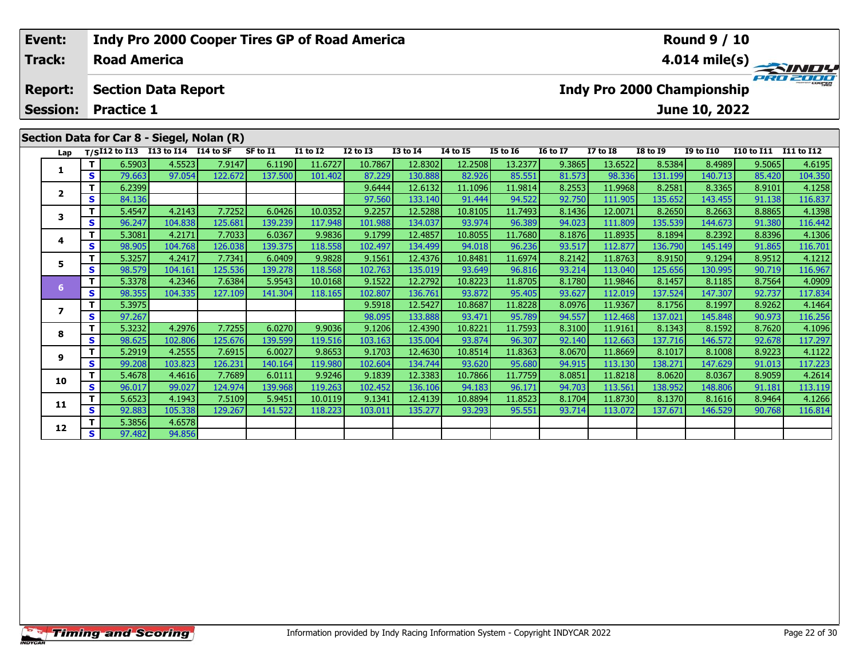| Event:          |    |                     |                                    | <b>Indy Pro 2000 Cooper Tires GP of Road America</b> |          |                 |                 |                 |                 |                 |                 |          |                 | <b>Round 9 / 10</b>        |                       |                 |
|-----------------|----|---------------------|------------------------------------|------------------------------------------------------|----------|-----------------|-----------------|-----------------|-----------------|-----------------|-----------------|----------|-----------------|----------------------------|-----------------------|-----------------|
| Track:          |    | <b>Road America</b> |                                    |                                                      |          |                 |                 |                 |                 |                 |                 |          |                 |                            |                       | $4.014$ mile(s) |
| <b>Report:</b>  |    |                     | <b>Section Data Report</b>         |                                                      |          |                 |                 |                 |                 |                 |                 |          |                 | Indy Pro 2000 Championship |                       | PRO 2000        |
| <b>Session:</b> |    | <b>Practice 1</b>   |                                    |                                                      |          |                 |                 |                 |                 |                 |                 |          |                 | June 10, 2022              |                       |                 |
|                 |    |                     |                                    | Section Data for Car 8 - Siegel, Nolan (R)           |          |                 |                 |                 |                 |                 |                 |          |                 |                            |                       |                 |
| Lap             |    |                     | T/SI12 to I13 I13 to I14 I14 to SF |                                                      | SF to I1 | <b>I1 to I2</b> | <b>I2 to I3</b> | <b>I3 to I4</b> | <b>I4 to I5</b> | <b>I5 to 16</b> | <b>16 to 17</b> | I7 to I8 | <b>I8 to I9</b> | <b>I9 to I10</b>           | I10 to I11 I11 to I12 |                 |
|                 |    | 6.5903              | 4.5523                             | 7.9147                                               | 6.1190   | 11.6727         | 10.7867         | 12.8302         | 12.2508         | 13.2377         | 9.3865          | 13.6522  | 8.5384          | 8.4989                     | 9.5065                | 4.6195          |
|                 | S. | 79.663              | 97.054                             | 122.672                                              | 137.500  | 101.402         | 87.229          | 130.888         | 82.926          | 85.551          | 81.573          | 98.336   | 131.1991        | 140.713                    | 85.420                | 104.350         |
|                 |    | 6.2399              |                                    |                                                      |          |                 | 9.6444          | 12.6132         | 11.1096         | 11.9814         | 8.2553          | 11.9968  | 8.2581          | 8.3365                     | 8.9101                | 4.1258          |

| Lap                     |    | $T/SI12$ to $I13$ | I13 to I14 I14 to SF |         | SF to I1 | <b>I1 to I2</b> | <b>I2 to I3</b> | <b>I3 to I4</b> | <b>I4 to I5</b> | <b>I5 to 16</b> | <b>16 to 17</b> | <b>I7 to I8</b> | <b>I8 to 19</b> | <b>I9 to I10</b> | I10 to I11 | I11 to I12 |
|-------------------------|----|-------------------|----------------------|---------|----------|-----------------|-----------------|-----------------|-----------------|-----------------|-----------------|-----------------|-----------------|------------------|------------|------------|
|                         |    | 6.5903            | 4.5523               | 7.9147  | 6.1190   | 11.6727         | 10.7867         | 12.8302         | 12.2508         | 13.2377         | 9.3865          | 13.6522         | 8.5384          | 8.4989           | 9.5065     | 4.6195     |
| 1                       | s  | 79.663            | 97.054               | 122.672 | 137.500  | 101.402         | 87.229          | 130.888         | 82.926          | 85.551          | 81.573          | 98.336          | 131.199         | 140.713          | 85.420     | 104.350    |
| $\overline{\mathbf{2}}$ |    | 6.2399            |                      |         |          |                 | 9.6444          | 12.6132         | 11.1096         | 11.9814         | 8.2553          | 11.9968         | 8.2581          | 8.3365           | 8.9101     | 4.1258     |
|                         | S  | 84.136            |                      |         |          |                 | 97.560          | 133.140         | 91.444          | 94.522          | 92.750          | 111.905         | 135.652         | 143.455          | 91.138     | 116.837    |
| 3                       | т  | 5.4547            | 4.2143               | 7.7252  | 6.0426   | 10.0352         | 9.2257          | 12.5288         | 10.8105         | 11.7493         | 8.1436          | 12.0071         | 8.2650          | 8.2663           | 8.8865     | 4.1398     |
|                         | s  | 96.247            | 104.838              | 125.681 | 139.239  | 117.948         | 101.988         | 134.037         | 93.974          | 96.389          | 94.023          | 111.809         | 135.539         | 144.673          | 91.380     | 116.442    |
| 4                       |    | 5.3081            | 4.2171               | 7.7033  | 6.0367   | 9.9836          | 9.1799          | 12.4857         | 10.8055         | 11.7680         | 8.1876          | 11.8935         | 8.1894          | 8.2392           | 8.8396     | 4.1306     |
|                         | s  | 98.905            | 104.768              | 126.038 | 139.375  | 118.558         | 102.497         | 134.499         | 94.018          | 96.236          | 93.517          | 112.877         | 136.790         | 145.149          | 91.865     | 116.701    |
| 5                       |    | 5.3257            | 4.2417               | 7.7341  | 6.0409   | 9.9828          | 9.1561          | 12.4376         | 10.8481         | 11.6974         | 8.2142          | 11.8763         | 8.9150          | 9.1294           | 8.9512     | 4.1212     |
|                         | S  | 98.579            | 104.161              | 125.536 | 139.278  | 118.568         | 102.763         | 135.019         | 93.649          | 96.816          | 93.214          | 113.040         | 125.656         | 130.995          | 90.719     | 116.967    |
| 6                       |    | 5.3378            | 4.2346               | 7.6384  | 5.9543   | 10.0168         | 9.1522          | 12.2792         | 10.8223         | 11.8705         | 8.1780          | 11.9846         | 8.1457          | 8.1185           | 8.7564     | 4.0909     |
|                         | S  | 98.355            | 104.335              | 127.109 | 141.304  | 118.165         | 102.807         | 136.761         | 93.872          | 95.405          | 93.627          | 112.019         | 137.524         | 147.307          | 92.737     | 117.834    |
| 7                       |    | 5.3975            |                      |         |          |                 | 9.5918          | 12.5427         | 10.8687         | 11.8228         | 8.0976          | 11.9367         | 8.1756          | 8.1997           | 8.9262     | 4.1464     |
|                         | s  | 97.267            |                      |         |          |                 | 98.095          | 133.888         | 93.471          | 95.789          | 94.557          | 112.468         | 137.021         | 145.848          | 90.973     | 116.256    |
| 8                       |    | 5.3232            | 4.2976               | 7.7255  | 6.0270   | 9.9036          | 9.1206          | 12.4390         | 10.8221         | 11.7593         | 8.3100          | 11.9161         | 8.1343          | 8.1592           | 8.7620     | 4.1096     |
|                         | S  | 98.625            | 102.806              | 125.676 | 139.599  | 119.516         | 103.163         | 135.004         | 93.874          | 96.307          | 92.140          | 112.663         | 137.716         | 146.572          | 92.678     | 117.297    |
| 9                       |    | 5.2919            | 4.2555               | 7.6915  | 6.0027   | 9.8653          | 9.1703          | 12.4630         | 10.8514         | 11.8363         | 8.0670          | 11.8669         | 8.1017          | 8.1008           | 8.9223     | 4.1122     |
|                         | S  | 99.208            | 103.823              | 126.231 | 140.164  | 119.980         | 102.604         | 134.744         | 93.620          | 95.680          | 94.915          | 113.130         | 138.271         | 147.629          | 91.013     | 117.223    |
| 10                      |    | 5.4678            | 4.4616               | 7.7689  | 6.0111   | 9.9246          | 9.1839          | 12.3383         | 10.7866         | 11.7759         | 8.0851          | 11.8218         | 8.0620          | 8.0367           | 8.9059     | 4.2614     |
|                         | S  | 96.017            | 99.027               | 124.974 | 139.968  | 119.263         | 102.452         | 136.106         | 94.183          | 96.171          | 94.703          | 113.561         | 138.952         | 148.806          | 91.181     | 113.119    |
| 11                      |    | 5.6523            | 4.1943               | 7.5109  | 5.9451   | 10.0119         | 9.1341          | 12.4139         | 10.8894         | 11.8523         | 8.1704          | 11.8730         | 8.1370          | 8.1616           | 8.9464     | 4.1266     |
|                         | S  | 92.883            | 105.338              | 129.267 | 141.522  | 118.223         | 103.011         | 135.277         | 93.293          | 95.551          | 93.714          | 113.072         | 137.671         | 146.529          | 90.768     | 116.814    |
| 12                      |    | 5.3856            | 4.6578               |         |          |                 |                 |                 |                 |                 |                 |                 |                 |                  |            |            |
|                         | S. | 97.482            | 94.856               |         |          |                 |                 |                 |                 |                 |                 |                 |                 |                  |            |            |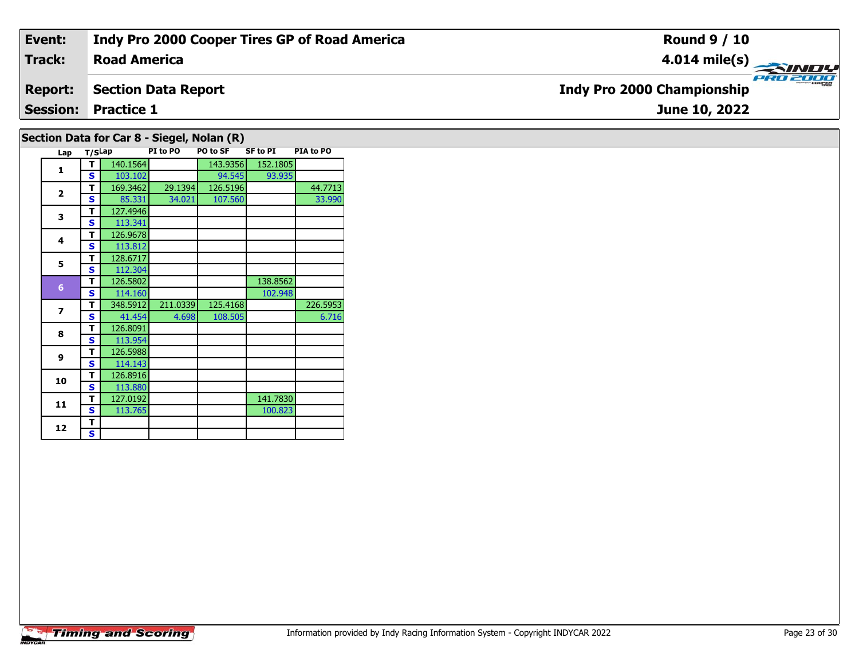| Event:                                     | Indy Pro 2000 Cooper Tires GP of Road America | <b>Round 9 / 10</b>                           |  |  |  |  |  |  |  |  |
|--------------------------------------------|-----------------------------------------------|-----------------------------------------------|--|--|--|--|--|--|--|--|
| Track:                                     | <b>Road America</b>                           |                                               |  |  |  |  |  |  |  |  |
| <b>Report:</b>                             | <b>Section Data Report</b>                    | PRO 2000<br><b>Indy Pro 2000 Championship</b> |  |  |  |  |  |  |  |  |
|                                            | <b>Session: Practice 1</b>                    | June 10, 2022                                 |  |  |  |  |  |  |  |  |
| Section Data for Car 8 - Siegel, Nolan (R) |                                               |                                               |  |  |  |  |  |  |  |  |

### **Lap T/SLap PI to PO PO to SF SF to PI PIA to PO 1 <sup>T</sup>** 140.1564 143.9356 152.1805 **<sup>S</sup>** 103.102 94.545 93.935**2T** 169.3462 29.1394 126.5196 44.7713<br>**S** 85.331 34.021 107.560 33.990 33.990 **3a T** 127.4946<br>**S** 113.341 **4 <sup>T</sup>** 126.9678 **<sup>S</sup>** 113.812113.812 **5 <sup>T</sup>** 128.6717 **<sup>S</sup>** 112.304**6d T** 126.5802 138.8562<br>**S** 114.160 102.948 **7T** 348.5912 211.0339 125.4168 226.5953<br>**S** 41.454 4.698 108.505 6.716 6.716 **8 <sup>T</sup>** 126.8091 **<sup>S</sup>** 113.954**9 <sup>T</sup>** 126.5988 **<sup>S</sup>** 114.143114.143 **10 <sup>T</sup>** 126.8916 **<sup>S</sup>** 113.880**11T** 127.0192 141.7830<br> **S** 113.765 100.823 100.823 12  $\frac{1}{s}$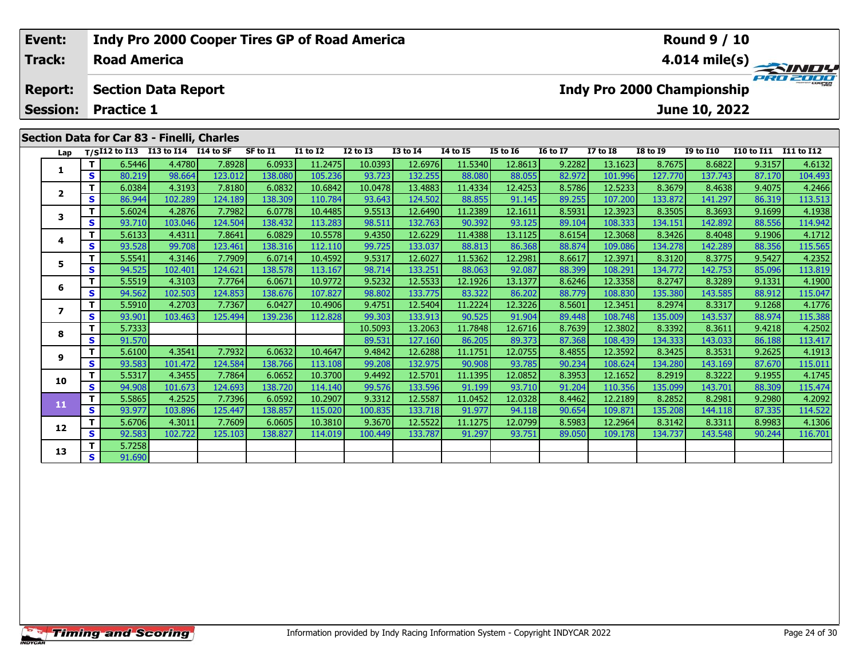| Event:          |    |                     |                                                    | Indy Pro 2000 Cooper Tires GP of Road America |          |                 |              |                 |                 |                 |                 |                 |                 | <b>Round 9 / 10</b>               |                   |                         |
|-----------------|----|---------------------|----------------------------------------------------|-----------------------------------------------|----------|-----------------|--------------|-----------------|-----------------|-----------------|-----------------|-----------------|-----------------|-----------------------------------|-------------------|-------------------------|
| Track:          |    | <b>Road America</b> |                                                    |                                               |          |                 |              |                 |                 |                 |                 |                 |                 |                                   |                   | $4.014 \text{ mile(s)}$ |
| <b>Report:</b>  |    |                     | <b>Section Data Report</b>                         |                                               |          |                 |              |                 |                 |                 |                 |                 |                 | <b>Indy Pro 2000 Championship</b> |                   | PRO 2000                |
| <b>Session:</b> |    | <b>Practice 1</b>   |                                                    |                                               |          |                 |              |                 |                 |                 |                 |                 |                 | June 10, 2022                     |                   |                         |
|                 |    |                     | Section Data for Car 83 - Finelli, Charles         |                                               |          |                 |              |                 |                 |                 |                 |                 |                 |                                   |                   |                         |
|                 |    |                     | Lap T/S <sup>I12</sup> to I13 I13 to I14 I14 to SF |                                               | SF to I1 | <b>I1 to I2</b> | $I2$ to $I3$ | <b>I3 to I4</b> | <b>I4 to I5</b> | <b>I5 to 16</b> | <b>16 to 17</b> | <b>I7 to I8</b> | <b>I8 to I9</b> | <b>I9 to I10</b>                  | <b>I10 to I11</b> | <b>I11 to I12</b>       |
|                 |    | 6.5446              | 4.4780                                             | 7.8928                                        | 6.0933   | 11.2475         | 10.0393      | 12.6976         | 11.5340         | 12.8613         | 9.2282          | 13.1623         | 8.7675          | 8.6822                            | 9.3157            | 4.6132                  |
|                 | S. | 80.219              | 98.664                                             | 123.012                                       | 138.080  | 105.236         | 93.723       | 132.255         | 88.080          | 88.055          | 82.972          | 101.996         | 127.770         | 137.743                           | 87.170            | 104.493                 |
|                 |    | 6.0384              | 4.3193                                             | 7.8180                                        | 6.0832   | 10.6842         | 10.0478      | 13.4883         | 11.4334         | 12.4253         | 8.5786          | 12.5233         | 8.3679          | 8.4638                            | 9.4075            | 4.2466                  |
| $\mathbf{2}$    | S. | 86.944              | 102.289                                            | 124.189                                       | 138.309  | 110.784         | 93.643       | 124.502         | 88.855          | 91.145          | 89.255          | 107.200         | 133.872         | 141.297                           | 86.319            | 113.513                 |

3 T | 5.6024 4.2876 7.7982 6.0778 10.4485 9.5513 12.6490 11.2389 12.1611 8.5931 12.3923 8.3505 8.3693 9.1699 4.1938<br>S S 93.710 103.046 124.504 138.432 113.283 98.511 132.763 90.392 93.125 89.104 108.333 134.151 142.892 88.

**<sup>T</sup>** 5.6133 4.4311 7.8641 6.0829 10.5578 9.4350 12.6229 11.4388 13.1125 8.6154 12.3068 8.3426 8.4048 9.1906 4.1712 **<sup>S</sup>** 93.528 99.708 123.461 138.316 112.110 99.725 133.037 88.813 86.368 88.874 109.086 134.278 142.289 88.356 115.565

**<sup>T</sup>** 5.5541 4.3146 7.7909 6.0714 10.4592 9.5317 12.6027 11.5362 12.2981 8.6617 12.3971 8.3120 8.3775 9.5427 4.2352 **<sup>S</sup>** 94.525 102.401 124.621 138.578 113.167 98.714 133.251 88.063 92.087 88.399 108.291 134.772 142.753 85.096 113.819

**<sup>T</sup>** 5.5519 4.3103 7.7764 6.0671 10.9772 9.5232 12.5533 12.1926 13.1377 8.6246 12.3358 8.2747 8.3289 9.1331 4.1900 **<sup>S</sup>** 94.562 102.503 124.853 138.676 107.827 98.802 133.775 83.322 86.202 88.779 108.830 135.380 143.585 88.912 115.047

7 | T | 5.5910| 4.2703| 7.7367| 6.0427| 10.4906| 9.4751| 12.5404| 11.2224| 12.3226| 8.5601| 12.3451| 8.2974| 8.3317| 9.1268| 4.1776<br>7 | S | 93.901 103.463 125.494 139.236 112.828 99.303 133.913 90.525 91.904 89.448 108.748

**<sup>T</sup>** 5.7333 10.5093 13.2063 11.7848 12.6716 8.7639 12.3802 8.3392 8.3611 9.4218 4.2502 **<sup>S</sup>** 91.570 89.531 127.160 86.205 89.373 87.368 108.439 134.333 143.033 86.188 113.417

1.1751 12.0755 12.0755 12.0755 12.0755 12.0755 12.0755 12.3592 13.3531 14.35425 14.1913 <br>S 13.583 101.472 124.584 138.766 113.108 99.208 132.975 90.908 93.785 90.234 108.624 1

0 | T | 5.5317| 4.3455| 7.7864| 6.0652| 10.3700| 9.4492| 12.5701| 11.1395| 12.0852| 8.3953| 12.1652| 8.2919| 8.3222| 9.1955| 4.1745<br>| S | 94.908| 101.673| 124.693| 138.720| 114.140| 99.576| 133.596| 91.199| 93.710| 91.204|

**<sup>T</sup>** 5.5865 4.2525 7.7396 6.0592 10.2907 9.3312 12.5587 11.0452 12.0328 8.4462 12.2189 8.2852 8.2981 9.2980 4.2092 **<sup>S</sup>** 93.977 103.896 125.447 138.857 115.020 100.835 133.718 91.977 94.118 90.654 109.871 135.208 144.118 87.335 114.522

2 T 5.6706| 4.3011| 7.7609| 6.0605| 10.3810| 9.3670| 12.5522| 11.1275| 12.0799| 8.5983| 12.2964| 8.3142| 8.3311| 8.9983| 4.1306<br>| S 92.583| 102.722| 125.103| 138.827| 114.019| 100.449| 133.787| 91.297| 93.751| 89.050| 109.

**3**

**4**

**5**

**6**

**7**

**8**

**9**

**10**

**11**

**12**

**13**

**<sup>T</sup>** 5.7258 **<sup>S</sup>** 91.690

**Timing and Scoring** 

115.565

115.011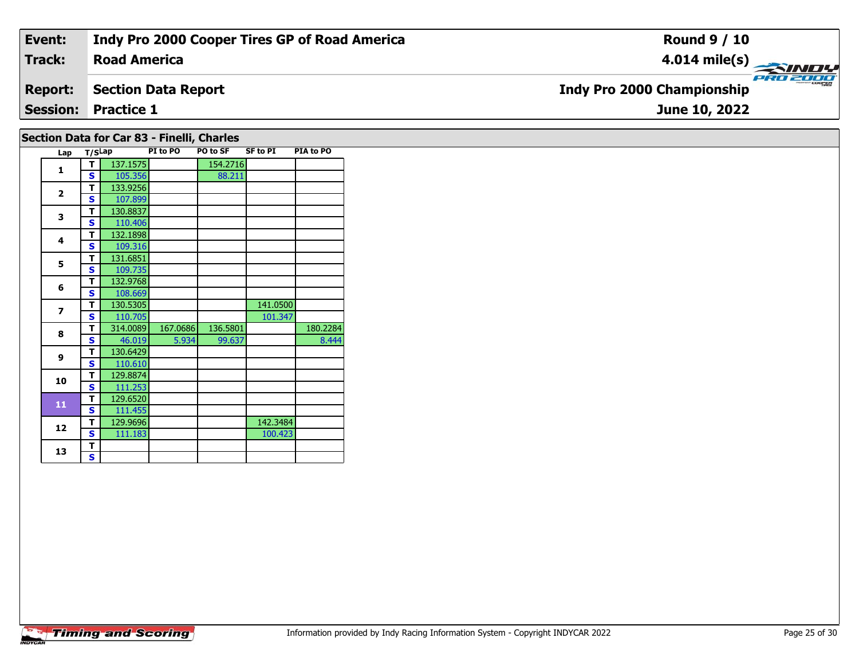| Event:          | Indy Pro 2000 Cooper Tires GP of Road America | <b>Round 9 / 10</b>                               |  |  |  |  |  |  |  |  |
|-----------------|-----------------------------------------------|---------------------------------------------------|--|--|--|--|--|--|--|--|
| <b>Track:</b>   | <b>Road America</b>                           | $\frac{4.014 \text{ mile(s)}}{2.0 \text{ m/s}^2}$ |  |  |  |  |  |  |  |  |
| <b>Report:</b>  | <b>Section Data Report</b>                    | <b>Indy Pro 2000 Championship</b>                 |  |  |  |  |  |  |  |  |
| <b>Session:</b> | <b>Practice 1</b>                             | June 10, 2022                                     |  |  |  |  |  |  |  |  |
|                 | Section Data for Car 83 - Finelli, Charles    |                                                   |  |  |  |  |  |  |  |  |

| Lap                      | T/SLap |          | PI to PO | <b>PO to SF</b> | <b>SF to PI</b> | PIA to PO |
|--------------------------|--------|----------|----------|-----------------|-----------------|-----------|
| 1                        | т      | 137.1575 |          | 154.2716        |                 |           |
|                          | Ś      | 105.356  |          | 88.211          |                 |           |
| $\overline{2}$           | т      | 133.9256 |          |                 |                 |           |
|                          | S      | 107.899  |          |                 |                 |           |
| 3                        | т      | 130.8837 |          |                 |                 |           |
|                          | Ś      | 110.406  |          |                 |                 |           |
| 4                        | т      | 132.1898 |          |                 |                 |           |
|                          | S      | 109.316  |          |                 |                 |           |
| 5                        | T      | 131.6851 |          |                 |                 |           |
|                          | S      | 109.735  |          |                 |                 |           |
| 6                        | т      | 132.9768 |          |                 |                 |           |
|                          | s      | 108.669  |          |                 |                 |           |
| $\overline{\phantom{a}}$ | T      | 130.5305 |          |                 | 141.0500        |           |
|                          | S      | 110.705  |          |                 | 101.347         |           |
| 8                        | т      | 314.0089 | 167.0686 | 136.5801        |                 | 180.2284  |
|                          | S      | 46.019   | 5.934    | 99.637          |                 | 8.444     |
| 9                        | T      | 130.6429 |          |                 |                 |           |
|                          | S      | 110.610  |          |                 |                 |           |
| 10                       | T      | 129.8874 |          |                 |                 |           |
|                          | S      | 111.253  |          |                 |                 |           |
| 11                       | т      | 129.6520 |          |                 |                 |           |
|                          | S      | 111.455  |          |                 |                 |           |
| 12                       | T      | 129.9696 |          |                 | 142.3484        |           |
|                          | S      | 111.183  |          |                 | 100.423         |           |
| 13                       | T<br>S |          |          |                 |                 |           |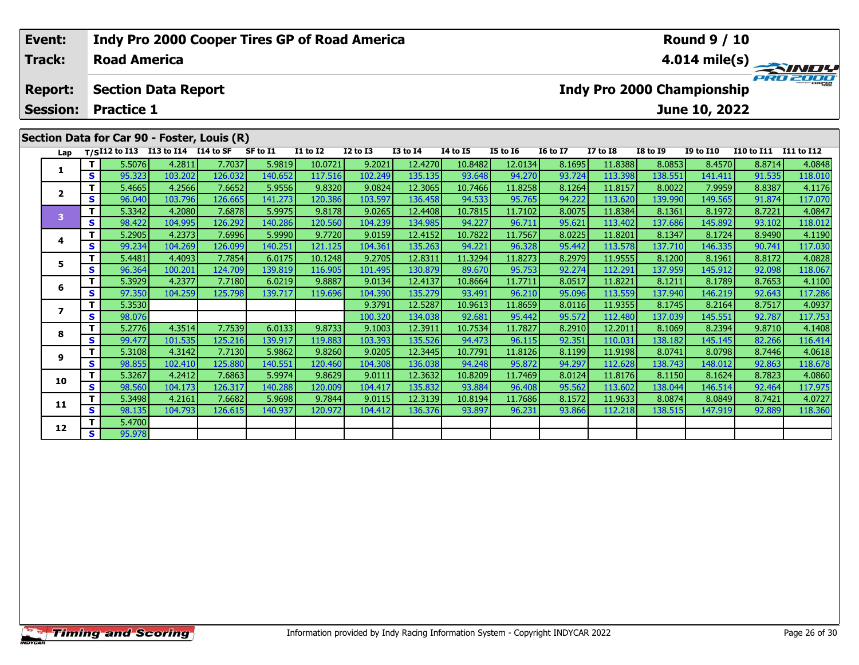| Event:                            |         |                     |                                      | Indy Pro 2000 Cooper Tires GP of Road America |                |                 |              |                 |                 |                 |                 |                            |                  | <b>Round 9 / 10</b> |                   |                         |
|-----------------------------------|---------|---------------------|--------------------------------------|-----------------------------------------------|----------------|-----------------|--------------|-----------------|-----------------|-----------------|-----------------|----------------------------|------------------|---------------------|-------------------|-------------------------|
| Track:                            |         | <b>Road America</b> |                                      |                                               |                |                 |              |                 |                 |                 |                 |                            |                  |                     |                   | $4.014 \text{ mile(s)}$ |
| <b>Report:</b><br><b>Session:</b> |         | <b>Practice 1</b>   | <b>Section Data Report</b>           |                                               |                |                 |              |                 |                 |                 |                 | Indy Pro 2000 Championship |                  | June 10, 2022       |                   | PRO 2000                |
|                                   |         |                     |                                      |                                               |                |                 |              |                 |                 |                 |                 |                            |                  |                     |                   |                         |
|                                   |         |                     |                                      | Section Data for Car 90 - Foster, Louis (R)   |                |                 |              |                 |                 |                 |                 |                            |                  |                     |                   |                         |
| Lap                               |         |                     | $T/SI12$ to I13 I13 to I14 I14 to SF |                                               | SF to I1       | <b>I1 to I2</b> | $I2$ to $I3$ | <b>I3 to I4</b> | <b>I4 to I5</b> | <b>I5 to I6</b> | <b>I6 to I7</b> | <b>I7 to I8</b>            | <b>I8 to I9</b>  | <b>I9 to I10</b>    | <b>I10 to I11</b> | I11 to I12              |
|                                   |         | 5.5076              | 4.2811                               | 7.7037                                        | 5.9819         | 10.0721         | 9.2021       | 12.4270         | 10.8482         | 12.0134         | 8.1695          | 11.8388                    | 8.0853           | 8.4570              | 8.8714            | 4.0848                  |
|                                   | S.      | 95.323              | 103.202                              | 126.032                                       | 140.652        | 117.516         | 102.249      | 135.135         | 93.648          | 94.270          | 93.724          | 113.398                    | 138.551          | 141.411             | 91.535            | 118.010                 |
| $\mathbf{2}$                      |         | 5.4665              | 4.2566                               | 7.6652                                        | 5.9556         | 9.8320          | 9.0824       | 12.3065         | 10.7466         | 11.8258         | 8.1264          | 11.8157                    | 8.0022           | 7.9959              | 8.8387            | 4.1176                  |
|                                   | S.      | 96.040              | 103.796                              | 126.665                                       | 141.273        | 120.386         | 103.597      | 136.458         | 94.533          | 95.765          | 94.222          | 113.620                    | 139.990 <b>l</b> | 149.565             | 91.874            | 117.070                 |
|                                   | . The U | n pozoli            | <b>A</b> poon                        | $7 \cos 1$                                    | <b>E</b> 007EL | 0.0170          | n oper l     | 12.4400         | 10,7015         | 11.7102         | 0.025           | 110204                     | 0.1261           | 0.10721             | 0.7221            | AOOAT                   |

|    |                | -----  | -----   | .       | -----   | ------  |         | ------- | ---- -- | ------  | ------ | ------  | ------  | -----   | -----  |         |
|----|----------------|--------|---------|---------|---------|---------|---------|---------|---------|---------|--------|---------|---------|---------|--------|---------|
|    | S I            | 95.323 | 103.202 | 126.032 | 140.652 | 117.516 | 102.249 | 135.135 | 93.648  | 94.270  | 93.724 | 113.398 | 138.551 | 141.411 | 91.535 | 118.010 |
|    |                | 5.4665 | 4.2566  | 7.6652  | 5.9556  | 9.8320  | 9.0824  | 12.3065 | 10.7466 | 11.8258 | 8.1264 | 11.8157 | 8.0022  | 7.9959  | 8.8387 | 4.1176  |
|    | s l            | 96.040 | 103.796 | 126.665 | 141.273 | 120.386 | 103.597 | 136.458 | 94.533  | 95.765  | 94.222 | 113.620 | 139.990 | 149.565 | 91.874 | 117.070 |
| з  | т              | 5.3342 | 4.2080  | 7.6878  | 5.9975  | 9.8178  | 9.0265  | 12.4408 | 10.7815 | 11.7102 | 8.0075 | 11.8384 | 8.1361  | 8.1972  | 8.7221 | 4.0847  |
|    | S I            | 98.422 | 104.995 | 126.292 | 140.286 | 120.560 | 104.239 | 134.985 | 94.227  | 96.711  | 95.621 | 113.402 | 137.686 | 145.892 | 93.102 | 118.012 |
|    | Τ.             | 5.2905 | 4.2373  | 7.6996  | 5.9990  | 9.7720  | 9.0159  | 12.4152 | 10.7822 | 11.7567 | 8.0225 | 11.8201 | 8.1347  | 8.1724  | 8.9490 | 4.1190  |
|    | S.             | 99.234 | 104.269 | 126.099 | 140.251 | 121.125 | 104.361 | 135.263 | 94.221  | 96.328  | 95.442 | 113.578 | 137.710 | 146.335 | 90.741 | 117.030 |
|    |                | 5.4481 | 4.4093  | 7.7854  | 6.0175  | 10.1248 | 9.2705  | 12.8311 | 11.3294 | 11.8273 | 8.2979 | 11.9555 | 8.1200  | 8.1961  | 8.8172 | 4.0828  |
|    | S.             | 96.364 | 100.201 | 124.709 | 139.819 | 116.905 | 101.495 | 130.879 | 89.670  | 95.753  | 92.274 | 112.291 | 137.959 | 145.912 | 92.098 | 118.067 |
|    | Τ.             | 5.3929 | 4.2377  | 7.7180  | 6.0219  | 9.8887  | 9.0134  | 12.4137 | 10.8664 | 11.7711 | 8.0517 | 11.8221 | 8.1211  | 8.1789  | 8.7653 | 4.1100  |
|    | S.             | 97.350 | 104.259 | 125.798 | 139.717 | 119.696 | 104.390 | 135.279 | 93.491  | 96.210  | 95.096 | 113.559 | 137.940 | 146.219 | 92.643 | 117.286 |
|    | Τ.             | 5.3530 |         |         |         |         | 9.3791  | 12.5287 | 10.9613 | 11.8659 | 8.0116 | 11.9355 | 8.1745  | 8.2164  | 8.7517 | 4.0937  |
|    | S.             | 98.076 |         |         |         |         | 100.320 | 134.038 | 92.681  | 95.442  | 95.572 | 112.480 | 137.039 | 145.551 | 92.787 | 117.753 |
| 8  | Τ.             | 5.2776 | 4.3514  | 7.7539  | 6.0133  | 9.8733  | 9.1003  | 12.3911 | 10.7534 | 11.7827 | 8.2910 | 12.2011 | 8.1069  | 8.2394  | 9.8710 | 4.1408  |
|    | <b>S</b>       | 99.477 | 101.535 | 125.216 | 139.917 | 119.883 | 103.393 | 135.526 | 94.473  | 96.115  | 92.351 | 110.031 | 138.182 | 145.145 | 82.266 | 116.414 |
| 9  | Τ.             | 5.3108 | 4.3142  | 7.7130  | 5.9862  | 9.8260  | 9.0205  | 12.3445 | 10.7791 | 11.8126 | 8.1199 | 11.9198 | 8.0741  | 8.0798  | 8.7446 | 4.0618  |
|    | S.             | 98.855 | 102.410 | 125.880 | 140.551 | 120.460 | 104.308 | 136.038 | 94.248  | 95.872  | 94.297 | 112.628 | 138.743 | 148.012 | 92.863 | 118.678 |
| 10 | Τ.             | 5.3267 | 4.2412  | 7.6863  | 5.9974  | 9.8629  | 9.0111  | 12.3632 | 10.8209 | 11.7469 | 8.0124 | 11.8176 | 8.1150  | 8.1624  | 8.7823 | 4.0860  |
|    | S <sub>1</sub> | 98.560 | 104.173 | 126.317 | 140.288 | 120.009 | 104.417 | 135.832 | 93.884  | 96.408  | 95.562 | 113.602 | 138.044 | 146.514 | 92.464 | 117.975 |
| 11 |                | 5.3498 | 4.2161  | 7.6682  | 5.9698  | 9.7844  | 9.0115  | 12.3139 | 10.8194 | 11.7686 | 8.1572 | 11.9633 | 8.0874  | 8.0849  | 8.7421 | 4.0727  |
|    | S.             | 98.135 | 104.793 | 126.615 | 140.937 | 120.972 | 104.412 | 136.376 | 93.897  | 96.231  | 93.866 | 112.218 | 138.515 | 147.919 | 92.889 | 118.360 |
| 12 |                | 5.4700 |         |         |         |         |         |         |         |         |        |         |         |         |        |         |
|    | 's l           | 95.978 |         |         |         |         |         |         |         |         |        |         |         |         |        |         |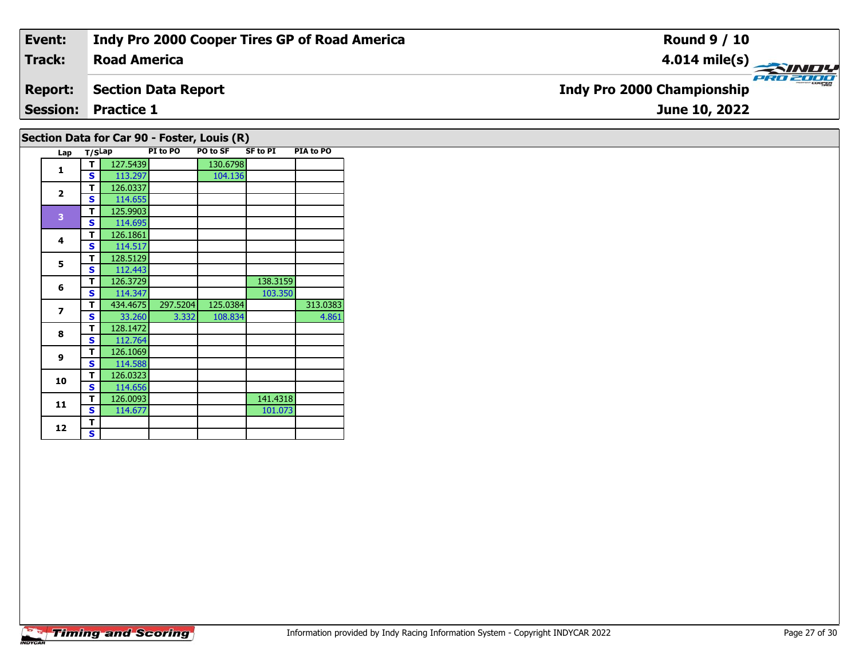| Event:                                      | Indy Pro 2000 Cooper Tires GP of Road America | <b>Round 9 / 10</b>                           |  |  |  |  |  |  |  |
|---------------------------------------------|-----------------------------------------------|-----------------------------------------------|--|--|--|--|--|--|--|
| <b>Track:</b>                               | <b>Road America</b>                           | 4.014 mile(s) $\rightarrow$                   |  |  |  |  |  |  |  |
| <b>Report:</b>                              | <b>Section Data Report</b>                    | PRO 2000<br><b>Indy Pro 2000 Championship</b> |  |  |  |  |  |  |  |
|                                             | <b>Session: Practice 1</b>                    | June 10, 2022                                 |  |  |  |  |  |  |  |
| Section Data for Car 90 - Foster, Louis (R) |                                               |                                               |  |  |  |  |  |  |  |

| Lap            | T/SLap |          | PI to PO | PO to SF | <b>SF to PI</b> | PIA to PO |
|----------------|--------|----------|----------|----------|-----------------|-----------|
| 1              | т      | 127.5439 |          | 130.6798 |                 |           |
|                | S      | 113.297  |          | 104.136  |                 |           |
|                | т      | 126.0337 |          |          |                 |           |
| $\mathbf 2$    | S      | 114.655  |          |          |                 |           |
| 3              | т      | 125.9903 |          |          |                 |           |
|                | S      | 114.695  |          |          |                 |           |
| 4              | т      | 126.1861 |          |          |                 |           |
|                | S      | 114.517  |          |          |                 |           |
| 5              | т      | 128.5129 |          |          |                 |           |
|                | S      | 112.443  |          |          |                 |           |
| 6              | т      | 126.3729 |          |          | 138.3159        |           |
|                | S      | 114.347  |          |          | 103.350         |           |
| $\overline{z}$ | т      | 434.4675 | 297.5204 | 125.0384 |                 | 313.0383  |
|                | S      | 33.260   | 3.332    | 108.834  |                 | 4.861     |
| 8              | т      | 128.1472 |          |          |                 |           |
|                | S      | 112.764  |          |          |                 |           |
| 9              | т      | 126.1069 |          |          |                 |           |
|                | S      | 114.588  |          |          |                 |           |
| 10             | т      | 126.0323 |          |          |                 |           |
|                | S      | 114.656  |          |          |                 |           |
| 11             | т      | 126.0093 |          |          | 141.4318        |           |
|                | S      | 114.677  |          |          | 101.073         |           |
| 12             | т      |          |          |          |                 |           |
|                | S      |          |          |          |                 |           |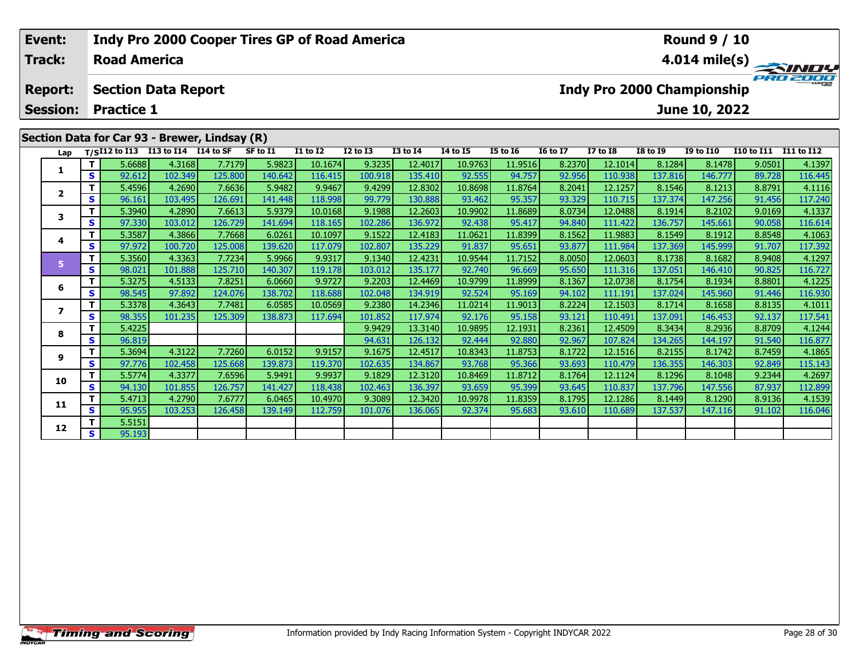| Event:          |     |                     |                                    | Indy Pro 2000 Cooper Tires GP of Road America |          |                 |                 |              |          |                 |                 |                            |                 | <b>Round 9 / 10</b> |                   |               |
|-----------------|-----|---------------------|------------------------------------|-----------------------------------------------|----------|-----------------|-----------------|--------------|----------|-----------------|-----------------|----------------------------|-----------------|---------------------|-------------------|---------------|
| Track:          |     | <b>Road America</b> |                                    |                                               |          |                 |                 |              |          |                 |                 |                            |                 |                     |                   | 4.014 mile(s) |
| <b>Report:</b>  |     |                     | <b>Section Data Report</b>         |                                               |          |                 |                 |              |          |                 |                 | Indy Pro 2000 Championship |                 |                     |                   | PRO 2000      |
| <b>Session:</b> |     | <b>Practice 1</b>   |                                    |                                               |          |                 |                 |              |          |                 |                 |                            |                 | June 10, 2022       |                   |               |
|                 |     |                     |                                    | Section Data for Car 93 - Brewer, Lindsay (R) |          |                 |                 |              |          |                 |                 |                            |                 |                     |                   |               |
| Lap             |     |                     | T/SI12 to I13 I13 to I14 I14 to SF |                                               | SF to I1 | <b>I1 to I2</b> | <b>I2 to I3</b> | $I3$ to $I4$ | 14 to 15 | <b>I5 to 16</b> | <b>16 to 17</b> | I7 to I8                   | <b>I8 to 19</b> | <b>I9 to I10</b>    | <b>I10 to I11</b> | I11 to I12    |
|                 |     | 5.6688              | 4.3168                             | 7.7179                                        | 5.9823   | 10.1674         | 9.3235          | 12.4017      | 10.9763  | 11.9516         | 8.2370          | 12.1014                    | 8.1284          | 8.1478              | 9.0501            | 4.1397        |
|                 | S I | 92.612              | 102.349                            | 125.800                                       | 140.642  | 116.415         | 100.918         | 135.410      | 92.555   | 94.757          | 92.956          | 110.938                    | 137.816         | 146.777             | 89.728            | 116.445       |
|                 |     | 5.4596              | 4.2690                             | 7.6636                                        | 5.9482   | 9.9467          | 9.4299          | 12.8302      | 10.8698  | 11.8764         | 8.2041          | 12.1257                    | 8.1546          | 8.1213              | 8.8791            | 4.1116        |
| $\mathbf{2}$    | s   | 96.161              | 103.495                            | 126.691                                       | 141.448  | 118.998         | 99.779          | 130.888      | 93.462   | 95.357          | 93.329          | 110.715                    | 137.374         | 147.256             | 91.456            | 117.240       |

3 T 5.3940 4.2890 7.6613 5.9379 10.0168 9.1988 12.2603 10.9902 11.8689 8.0734 12.0488 8.1914 8.2102 9.0169 4.1337<br>S S 97.330 103.012 126.729 141.694 118.165 102.286 136.972 92.438 95.417 94.840 111.422 136.757 145.661 90.0

**<sup>T</sup>** 5.3587 4.3866 7.7668 6.0261 10.1097 9.1522 12.4183 11.0621 11.8399 8.1562 11.9883 8.1549 8.1912 8.8548 4.1063 **<sup>S</sup>** 97.972 100.720 125.008 139.620 117.079 102.807 135.229 91.837 95.651 93.877 111.984 137.369 145.999 91.707 117.392

**<sup>T</sup>** 5.3560 4.3363 7.7234 5.9966 9.9317 9.1340 12.4231 10.9544 11.7152 8.0050 12.0603 8.1738 8.1682 8.9408 4.1297 **<sup>S</sup>** 98.021 101.888 125.710 140.307 119.178 103.012 135.177 92.740 96.669 95.650 111.316 137.051 146.410 90.825 116.727

6 | T | 5.3275| 4.5133| 7.8251| 6.0660| 9.9727| 9.2203| 12.4469| 10.9799| 11.8999| 8.1367| 12.0738| 8.1754| 8.1934| 8.8801| 4.1225<br>| S | 98.545| 97.892| 124.076| 138.702| 118.688| 102.048| 134.919| 92.524| 95.169| 94.102|

7 | T | 5.3378| 4.3643| 7.7481| 6.0585| 10.0569| 9.2380| 14.2346| 11.0214| 11.9013| 8.2224| 12.1503| 8.1714| 8.1658| 8.8135| 4.1011<br>7 | S | 98.355| 101.235| 125.309| 138.873| 117.694| 101.852| 117.974| 92.176| 95.158| 93.1

**<sup>T</sup>** 5.4225 9.9429 13.3140 10.9895 12.1931 8.2361 12.4509 8.3434 8.2936 8.8709 4.1244 **<sup>S</sup>** 96.819 94.631 126.132 92.444 92.880 92.967 107.824 134.265 144.197 91.540 116.877

**<sup>T</sup>** 5.3694 4.3122 7.7260 6.0152 9.9157 9.1675 12.4517 10.8343 11.8753 8.1722 12.1516 8.2155 8.1742 8.7459 4.1865 **<sup>S</sup>** 97.776 102.458 125.668 139.873 119.370 102.635 134.867 93.768 95.366 93.693 110.479 136.355 146.303 92.849 115.143

0 | **T** | 5.5774| 4.3377| 7.6596| 5.9491| 9.9937| 9.1829| 12.3120| 10.8469| 11.8712| 8.1764| 12.1124| 8.1296| 8.1048| 9.2344| 4.2697<br>| S | 94.130| 101.855| 126.757| 141.427| 118.438| 102.463| 136.397| 93.659| 95.399| 93.64

**<sup>T</sup>** 5.4713 4.2790 7.6777 6.0465 10.4970 9.3089 12.3420 10.9978 11.8359 8.1795 12.1286 8.1449 8.1290 8.9136 4.1539 **<sup>S</sup>** 95.955 103.253 126.458 139.149 112.759 101.076 136.065 92.374 95.683 93.610 110.689 137.537 147.116 91.102 116.046

## **Timing and Scoring**

**3**

**4**

**5**

**6**

**7**

**8**

**9**

**10**

**11**

**12**

**2 S** 5.5151

117.240

117.392

117.541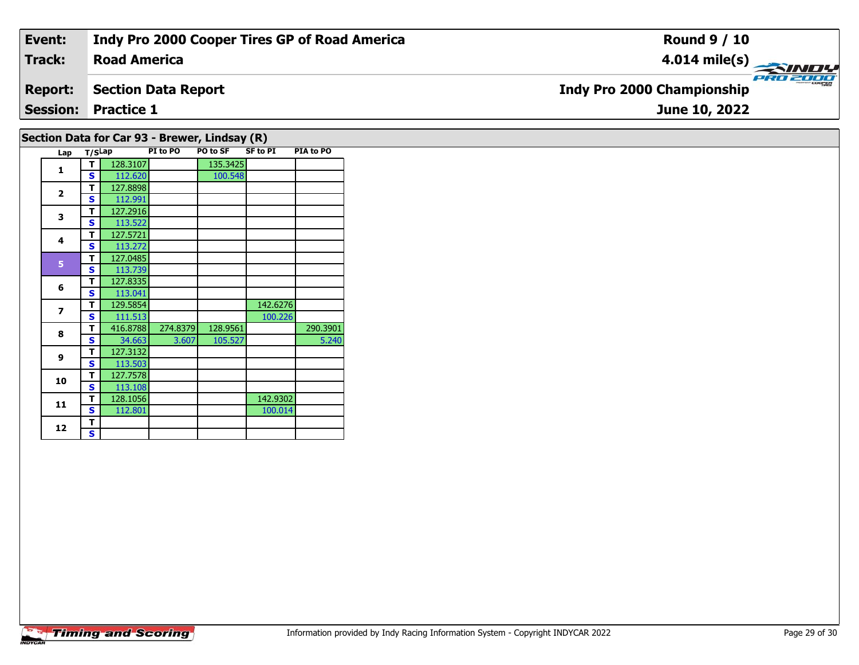| Event:         | <b>Indy Pro 2000 Cooper Tires GP of Road America</b> | <b>Round 9 / 10</b>                           |
|----------------|------------------------------------------------------|-----------------------------------------------|
| Track:         | <b>Road America</b>                                  |                                               |
| <b>Report:</b> | Section Data Report                                  | PRO 2000<br><b>Indy Pro 2000 Championship</b> |
|                | <b>Session: Practice 1</b>                           | June 10, 2022                                 |
|                |                                                      |                                               |

## **Section Data for Car 93 - Brewer, Lindsay (R)**

|  | Lap            | T/SLap |          | PI to PO | PO to SF | <b>SF to PI</b> | PIA to PO |
|--|----------------|--------|----------|----------|----------|-----------------|-----------|
|  | 1              | т      | 128.3107 |          | 135.3425 |                 |           |
|  |                | S      | 112.620  |          | 100.548  |                 |           |
|  | $\overline{2}$ | т      | 127.8898 |          |          |                 |           |
|  |                | S      | 112.991  |          |          |                 |           |
|  | 3              | т      | 127.2916 |          |          |                 |           |
|  |                | S      | 113.522  |          |          |                 |           |
|  | 4              | т      | 127.5721 |          |          |                 |           |
|  |                | S      | 113.272  |          |          |                 |           |
|  | 5              | т      | 127.0485 |          |          |                 |           |
|  |                | S      | 113.739  |          |          |                 |           |
|  | 6              | т      | 127.8335 |          |          |                 |           |
|  |                | Ś      | 113.041  |          |          |                 |           |
|  | $\overline{z}$ | т      | 129.5854 |          |          | 142.6276        |           |
|  |                | Ś      | 111.513  |          |          | 100.226         |           |
|  | 8              | т      | 416.8788 | 274.8379 | 128.9561 |                 | 290.3901  |
|  |                | S      | 34.663   | 3.607    | 105.527  |                 | 5.240     |
|  | 9              | т      | 127.3132 |          |          |                 |           |
|  |                | S      | 113.503  |          |          |                 |           |
|  | 10             | т      | 127.7578 |          |          |                 |           |
|  |                | S      | 113.108  |          |          |                 |           |
|  | 11             | т      | 128.1056 |          |          | 142.9302        |           |
|  |                | S      | 112.801  |          |          | 100.014         |           |
|  | 12             | т      |          |          |          |                 |           |
|  |                | S      |          |          |          |                 |           |